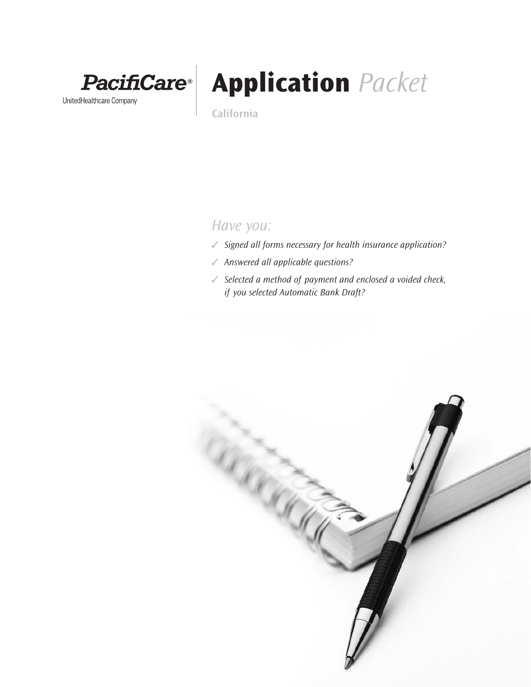

UnitedHealthcare Company

# **Application** Packet

**California**

# Have you:

- ✓ Signed all forms necessary for health insurance application?
- ✓ Answered all applicable questions?
- ✓ Selected a method of payment and enclosed a voided check, if you selected Automatic Bank Draft?

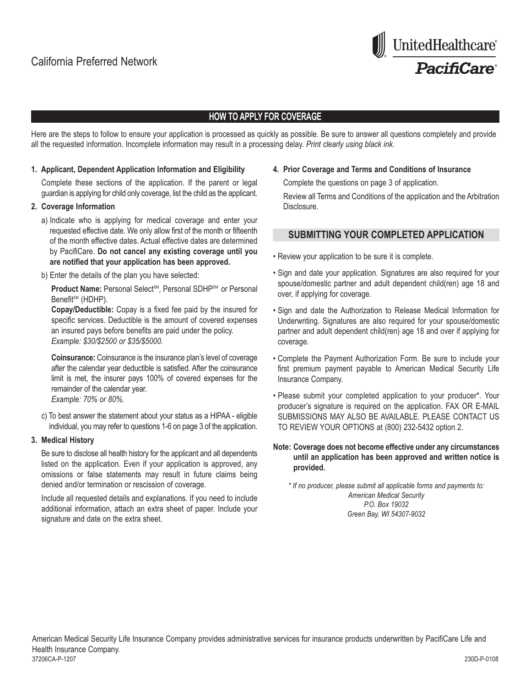

### **HOW TO APPLY FOR COVERAGE**

Here are the steps to follow to ensure your application is processed as quickly as possible. Be sure to answer all questions completely and provide all the requested information. Incomplete information may result in a processing delay. *Print clearly using black ink.*

#### **1. Applicant, Dependent Application Information and Eligibility**

Complete these sections of the application. If the parent or legal guardian is applying for child only coverage, list the child as the applicant.

#### **2. Coverage Information**

- a) Indicate who is applying for medical coverage and enter your requested effective date. We only allow first of the month or fifteenth of the month effective dates. Actual effective dates are determined by PacifiCare. **Do not cancel any existing coverage until you are notified that your application has been approved.**
- b) Enter the details of the plan you have selected:

**Product Name: Personal Select<sup>SM</sup>, Personal SDHP<sup>SM</sup> or Personal** Benefit<sup>sM</sup> (HDHP).

**Copay/Deductible:** Copay is a fixed fee paid by the insured for specific services. Deductible is the amount of covered expenses an insured pays before benefits are paid under the policy. *Example: \$30/\$2500 or \$35/\$5000.*

**Coinsurance:** Coinsurance is the insurance plan's level of coverage after the calendar year deductible is satisfied. After the coinsurance limit is met, the insurer pays 100% of covered expenses for the remainder of the calendar year.

*Example: 70% or 80%.* 

c) To best answer the statement about your status as a HIPAA - eligible individual, you may refer to questions 1-6 on page 3 of the application.

#### **3. Medical History**

Be sure to disclose all health history for the applicant and all dependents listed on the application. Even if your application is approved, any omissions or false statements may result in future claims being denied and/or termination or rescission of coverage.

Include all requested details and explanations. If you need to include additional information, attach an extra sheet of paper. Include your signature and date on the extra sheet.

**4. Prior Coverage and Terms and Conditions of Insurance**

Complete the questions on page 3 of application. Review all Terms and Conditions of the application and the Arbitration **Disclosure** 

#### **SUBMITTING YOUR COMPLETED APPLICATION**

- Review your application to be sure it is complete.
- Sign and date your application. Signatures are also required for your spouse/domestic partner and adult dependent child(ren) age 18 and over, if applying for coverage.
- Sign and date the Authorization to Release Medical Information for Underwriting. Signatures are also required for your spouse/domestic partner and adult dependent child(ren) age 18 and over if applying for coverage.
- Complete the Payment Authorization Form. Be sure to include your first premium payment payable to American Medical Security Life Insurance Company.
- Please submit your completed application to your producer\*. Your producer's signature is required on the application. FAX OR E-MAIL SUBMISSIONS MAY ALSO BE AVAILABLE. PLEASE CONTACT US TO REVIEW YOUR OPTIONS at (800) 232-5432 option 2.
- **Note: Coverage does not become effective under any circumstances until an application has been approved and written notice is provided.**

*\* If no producer, please submit all applicable forms and payments to: American Medical Security P.O. Box 19032 Green Bay, WI 54307-9032*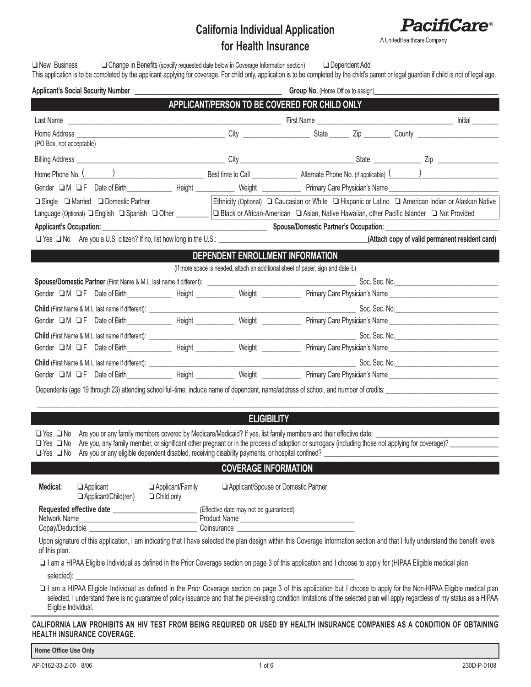## **California Individual Application for Health Insurance**



A UnitedHealthcare Company

❑ New Business ❑ Change in Benefits (specify requested date below in Coverage Information section) ❑ Dependent Add This application is to be completed by the applicant applying for coverage. For child only, application is to be completed by the child's parent or legal guardian if child is not of legal age.

| <b>Applicant's Social Security Number</b>                                                                                                                                        |                                                                                   | Group No. (Home Office to assign)                                                                                                                       |                                                |  |  |  |
|----------------------------------------------------------------------------------------------------------------------------------------------------------------------------------|-----------------------------------------------------------------------------------|---------------------------------------------------------------------------------------------------------------------------------------------------------|------------------------------------------------|--|--|--|
|                                                                                                                                                                                  |                                                                                   | APPLICANT/PERSON TO BE COVERED FOR CHILD ONLY                                                                                                           |                                                |  |  |  |
|                                                                                                                                                                                  |                                                                                   |                                                                                                                                                         |                                                |  |  |  |
|                                                                                                                                                                                  |                                                                                   |                                                                                                                                                         |                                                |  |  |  |
| (PO Box, not acceptable)                                                                                                                                                         |                                                                                   |                                                                                                                                                         |                                                |  |  |  |
|                                                                                                                                                                                  |                                                                                   |                                                                                                                                                         |                                                |  |  |  |
| Home Phone No. (1992) (Comparison of the September of Call Comparison Call Alternate Phone No. (if applicable) (2008)                                                            |                                                                                   |                                                                                                                                                         |                                                |  |  |  |
|                                                                                                                                                                                  |                                                                                   |                                                                                                                                                         |                                                |  |  |  |
| $\Box$ Single $\Box$ Married $\Box$ Domestic Partner                                                                                                                             |                                                                                   | Ethnicity (Optional) Q Caucasian or White Q Hispanic or Latino Q American Indian or Alaskan Native                                                      |                                                |  |  |  |
| Language (Optional) □ English □ Spanish □ Other   □ Black or African-American □ Asian, Native Hawaiian, other Pacific Islander □ Not Provided                                    |                                                                                   |                                                                                                                                                         |                                                |  |  |  |
|                                                                                                                                                                                  |                                                                                   |                                                                                                                                                         |                                                |  |  |  |
| Thes Thomas Are you a U.S. citizen? If no, list how long in the U.S.: The Management Control of the U.S. Are you a U.S. citizen? If no, list how long in the U.S.:               |                                                                                   |                                                                                                                                                         | (Attach copy of valid permanent resident card) |  |  |  |
|                                                                                                                                                                                  | DEPENDENT ENROLLMENT INFORMATION                                                  |                                                                                                                                                         |                                                |  |  |  |
|                                                                                                                                                                                  | (If more space is needed, attach an additional sheet of paper, sign and date it.) |                                                                                                                                                         |                                                |  |  |  |
|                                                                                                                                                                                  |                                                                                   |                                                                                                                                                         |                                                |  |  |  |
|                                                                                                                                                                                  |                                                                                   | Primary Care Physician's Name                                                                                                                           |                                                |  |  |  |
|                                                                                                                                                                                  |                                                                                   |                                                                                                                                                         |                                                |  |  |  |
|                                                                                                                                                                                  |                                                                                   |                                                                                                                                                         |                                                |  |  |  |
| Child (First Name & M.I., last name if different): example and the state of the state of the Soc. Sec. No.                                                                       |                                                                                   |                                                                                                                                                         |                                                |  |  |  |
|                                                                                                                                                                                  |                                                                                   |                                                                                                                                                         |                                                |  |  |  |
|                                                                                                                                                                                  |                                                                                   |                                                                                                                                                         |                                                |  |  |  |
|                                                                                                                                                                                  |                                                                                   |                                                                                                                                                         |                                                |  |  |  |
| Dependents (age 19 through 23) attending school full-time, include name of dependent, name/address of school, and number of credits:                                             |                                                                                   |                                                                                                                                                         |                                                |  |  |  |
|                                                                                                                                                                                  |                                                                                   |                                                                                                                                                         |                                                |  |  |  |
|                                                                                                                                                                                  | <b>ELIGIBILITY</b>                                                                |                                                                                                                                                         |                                                |  |  |  |
| Are you or any family members covered by Medicare/Medicaid? If yes, list family members and their effective date: _<br>$\Box$ Yes $\Box$ No                                      |                                                                                   |                                                                                                                                                         |                                                |  |  |  |
| $\Box$ Yes $\Box$ No                                                                                                                                                             |                                                                                   | Are you, any family member, or significant other pregnant or in the process of adoption or surrogacy (including those not applying for coverage)? _____ |                                                |  |  |  |
| Are you or any eligible dependent disabled, receiving disability payments, or hospital confined? _<br>$\Box$ Yes $\Box$ No                                                       |                                                                                   |                                                                                                                                                         |                                                |  |  |  |
| <b>COVERAGE INFORMATION</b>                                                                                                                                                      |                                                                                   |                                                                                                                                                         |                                                |  |  |  |
| Medical:<br>Applicant<br>Applicant/Family<br>Applicant/Child(ren) <b>Q</b> Child only                                                                                            | Applicant/Spouse or Domestic Partner                                              |                                                                                                                                                         |                                                |  |  |  |
|                                                                                                                                                                                  |                                                                                   |                                                                                                                                                         |                                                |  |  |  |
|                                                                                                                                                                                  |                                                                                   |                                                                                                                                                         |                                                |  |  |  |
| Upon signature of this application, I am indicating that I have selected the plan design within this Coverage Information section and that I fully understand the benefit levels |                                                                                   |                                                                                                                                                         |                                                |  |  |  |
| of this plan.                                                                                                                                                                    |                                                                                   |                                                                                                                                                         |                                                |  |  |  |

❏ I am a HIPAA Eligible Individual as defined in the Prior Coverage section on page 3 of this application and I choose to apply for (HIPAA Eligible medical plan selected): \_\_\_\_\_\_\_\_\_\_\_\_\_\_\_\_\_\_\_\_\_\_\_\_\_\_\_\_\_\_\_\_\_\_\_\_\_\_\_\_\_\_\_\_\_\_\_\_\_\_\_\_\_\_\_\_\_\_\_\_\_\_\_\_\_\_\_\_\_\_\_\_\_\_\_\_\_\_\_\_\_\_\_

❏ I am a HIPAA Eligible Individual as defined in the Prior Coverage section on page 3 of this application but I choose to apply for the Non-HIPAA Eligible medical plan selected. I understand there is no guarantee of policy issuance and that the pre-existing condition limitations of the selected plan will apply regardless of my status as a HIPAA Eligible Individual.

**CALIFORNIA LAW PROHIBITS AN HIV TEST FROM BEING REQUIRED OR USED BY HEALTH INSURANCE COMPANIES AS A CONDITION OF OBTAINING HEALTH INSURANCE COVERAGE.**

**Home Office Use Only**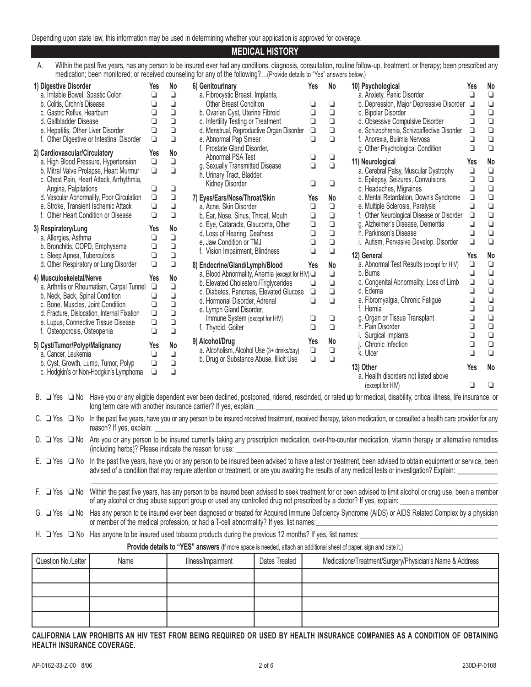Depending upon state law, this information may be used in determining whether your application is approved for coverage.

#### **MEDICAL HISTORY**

A. Within the past five years, has any person to be insured ever had any conditions, diagnosis, consultation, routine follow-up, treatment, or therapy; been prescribed any medication; been monitored; or received counseling for any of the following?…(Provide details to "Yes" answers below.)

| 1) Digestive Disorder<br>6) Genitourinary<br>No<br>10) Psychological<br>No<br>Yes<br>Yes<br>No<br>Yes<br>a. Fibrocystic Breast, Implants,<br>a. Irritable Bowel, Spastic Colon<br>$\Box$<br>$\Box$<br>a. Anxiety, Panic Disorder<br>$\Box$<br>O<br>$\Box$<br>$\Box$<br>$\Box$<br><b>Other Breast Condition</b><br>$\Box$<br>$\Box$<br>b. Depression, Major Depressive Disorder $\Box$<br>b. Colitis, Crohn's Disease<br>$\Box$<br>$\Box$<br>$\Box$<br>$\Box$<br>b. Ovarian Cyst, Uterine Fibroid<br>$\Box$<br>c. Bipolar Disorder<br>c. Gastric Reflux, Heartburn<br>Q.<br>$\Box$<br>$\Box$<br>$\Box$<br>$\Box$<br>$\Box$<br>$\Box$<br>d. Obsessive Compulsive Disorder<br>d. Gallbladder Disease<br>c. Infertility Testing or Treatment<br>$\Box$<br>$\Box$<br>d. Menstrual, Reproductive Organ Disorder <del>u</del><br>$\Box$<br>$\Box$<br>e. Schizophrenia, Schizoaffective Disorder<br>$\Box$<br>e. Hepatitis, Other Liver Disorder<br>$\frac{0}{0}$<br>$\Box$<br>$\Box$<br>$\Box$<br>$\Box$<br>f. Other Digestive or Intestinal Disorder<br>$\Box$<br>e. Abnormal Pap Smear<br>f. Anorexia, Bulimia Nervosa<br>$\Box$<br>f. Prostate Gland Disorder,<br>g. Other Psychological Condition<br>No<br>2) Cardiovascular/Circulatory<br>Yes<br>Abnormal PSA Test<br>$\Box$<br>$\Box$<br>a. High Blood Pressure, Hypertension<br>$\Box$<br>$\Box$<br>No<br>11) Neurological<br>Yes<br>$\Box$<br>$\Box$<br>g. Sexually Transmitted Disease<br>a. Cerebral Palsy, Muscular Dystrophy<br>$\Box$<br>$\Box$<br>$\Box$<br>b. Mitral Valve Prolapse, Heart Murmur<br>$\Box$<br>h. Urinary Tract, Bladder,<br>$\Box$<br>b. Epilepsy, Seizures, Convulsions<br>$\Box$<br>c. Chest Pain, Heart Attack, Arrhythmia,<br>$\Box$<br>$\Box$<br>Kidney Disorder<br>$\Box$<br>$\Box$<br>$\Box$<br>Angina, Palpitations<br>$\Box$<br>c. Headaches, Migraines<br>$\Box$<br>$\Box$<br>$\Box$<br>$\Box$<br>d. Vascular Abnormality, Poor Circulation<br>d. Mental Retardation, Down's Syndrome<br>7) Eyes/Ears/Nose/Throat/Skin<br>Yes<br>No<br>$\Box$<br>e. Stroke, Transient Ischemic Attack<br>$\Box$<br>e. Multiple Sclerosis, Paralysis<br>$\Box$<br>Q.<br>$\Box$<br>a. Acne, Skin Disorder<br>Q<br>$\Box$<br>$\Box$<br>$\Box$<br>f. Other Heart Condition or Disease<br>$\Box$<br>$\Box$<br>b. Ear, Nose, Sinus, Throat, Mouth<br>$\Box$<br>f. Other Neurological Disease or Disorder<br>$\begin{array}{c} \square \\ \square \end{array}$<br>$\Box$<br>$\Box$<br>g. Alzheimer's Disease, Dementia<br>Q<br>c. Eye, Cataracts, Glaucoma, Other<br>3) Respiratory/Lung<br>Yes<br>No<br>$\Box$<br>$\Box$<br>h. Parkinson's Disease<br>$\Box$<br>d. Loss of Hearing, Deafness<br>$\Box$<br>a. Allergies, Asthma<br>Q<br>$\Box$<br>$\Box$<br>$\Box$<br>i. Autism, Pervasive Develop. Disorder<br>e. Jaw Condition or TMJ<br>$\Box$<br>$\Box$<br>$\Box$<br>b. Bronchitis, COPD, Emphysema<br>$\Box$<br>$\Box$<br>f. Vision Impairment, Blindness<br>$\Box$<br>No<br>$\Box$<br>12) General<br>c. Sleep Apnea, Tuberculosis<br>Yes<br>$\Box$<br>$\Box$<br>a. Abnormal Test Results (except for HIV)<br>$\Box$<br>d. Other Respiratory or Lung Disorder<br>$\Box$<br>8) Endocrine/Gland/Lymph/Blood<br>No<br>Yes<br>$\Box$<br>$\Box$<br>b. Burns<br>a. Blood Abnormality, Anemia (except for HIV) $\Box$<br>$\Box$<br>4) Musculoskeletal/Nerve<br>No<br>Yes<br>$\Box$<br>c. Congenital Abnormality, Loss of Limb<br>$\Box$<br>$\Box$<br>b. Elevated Cholesterol/Triglycerides<br>Q<br>a. Arthritis or Rheumatism, Carpal Tunnel<br>$\Box$<br>$\Box$<br>$\Box$<br>$\Box$<br>d. Edema<br>c. Diabetes, Pancreas, Elevated Glucose $\square$<br>$\Box$<br>$\Box$<br>$\Box$<br>b. Neck, Back, Spinal Condition<br>$\Box$<br>e. Fibromyalgia, Chronic Fatigue<br>$\Box$<br>$\Box$<br>$\Box$<br>d. Hormonal Disorder, Adrenal<br>$\Box$<br>$\Box$<br>c. Bone, Muscles, Joint Condition<br>$\Box$<br>$\Box$<br>f. Hernia<br>e. Lymph Gland Disorder,<br>$\Box$<br>$\Box$<br>d. Fracture, Dislocation, Internal Fixation<br>$\frac{0}{0}$<br>g. Organ or Tissue Transplant<br>$\Box$<br>$\Box$<br>$\Box$<br>Immune System (except for HIV)<br>$\Box$<br>$\Box$<br>e. Lupus, Connective Tissue Disease<br>h. Pain Disorder<br>$\Box$<br>$\Box$<br>$\Box$<br>f. Thyroid, Goiter<br>$\Box$<br>$\Box$<br>f. Osteoporosis, Osteopenia<br>$\Box$<br>$\Box$<br>i. Surgical Implants<br>No<br>9) Alcohol/Drug<br>Yes<br>$\Box$<br>$\Box$<br>Chronic Infection<br>No<br>5) Cyst/Tumor/Polyp/Malignancy<br>Yes<br>a. Alcoholism, Alcohol Use (3+ drinks/day)<br>$\Box$<br>$\Box$<br>$\Box$<br>k. Ulcer<br>$\Box$<br>$\Box$<br>$\Box$<br>a. Cancer, Leukemia<br>$\Box$<br>b. Drug or Substance Abuse, Illicit Use<br>$\Box$<br>$\Box$<br>b. Cyst, Growth, Lump, Tumor, Polyp<br>$\Box$<br><b>No</b><br>13) Other<br>Yes<br>c. Hodgkin's or Non-Hodgkin's Lymphoma<br>▫<br>$\Box$<br>a. Health disorders not listed above<br>$\Box$<br>$\Box$<br>(except for HIV)<br>B. □ Yes □ No Have you or any eligible dependent ever been declined, postponed, ridered, rescinded, or rated up for medical, disability, critical illness, life insurance, or<br>long term care with another insurance carrier? If yes, explain:<br>C. Thes Tho In the past five years, have you or any person to be insured received treatment, received therapy, taken medication, or consulted a health care provider for any<br>reason? If yes, explain: _<br>D. The Yes Tho Are you or any person to be insured currently taking any prescription medication, over-the-counter medication, vitamin therapy or alternative remedies<br>(including herbs)? Please indicate the reason for use:<br>E. Q Yes Q No In the past five years, have you or any person to be insured been advised to have a test or treatment, been advised to obtain equipment or service, been<br>advised of a condition that may require attention or treatment, or are you awaiting the results of any medical tests or investigation? Explain:<br>F. The Supposent of the past five years, has any person to be insured been advised to seek treatment for or been advised to limit alcohol or drug use, been a member<br>of any alcohol or drug abuse support group or used any controlled drug not prescribed by a doctor? If yes, explain:<br>G. Wes ON Has any person to be insured ever been diagnosed or treated for Acquired Immune Deficiency Syndrome (AIDS) or AIDS Related Complex by a physician<br>or member of the medical profession, or had a T-cell abnormality? If yes, list names:<br>H. $\Box$ Yes $\Box$ No Has anyone to be insured used tobacco products during the previous 12 months? If yes, list names:<br>Provide details to "YES" answers (If more space is needed, attach an additional sheet of paper, sign and date it.)<br>Dates Treated<br>Medications/Treatment/Surgery/Physician's Name & Address<br>Question No./Letter<br>Illness/Impairment<br>Name |  |  |  |  | $\mu$ and $\mu$ and $\mu$ and $\mu$ and $\mu$ and $\mu$ and $\mu$ and $\mu$ and $\mu$ and $\mu$ and $\mu$ and $\mu$ and $\mu$ and $\mu$ and $\mu$ and $\mu$ |  |  |  |  |  |
|----------------------------------------------------------------------------------------------------------------------------------------------------------------------------------------------------------------------------------------------------------------------------------------------------------------------------------------------------------------------------------------------------------------------------------------------------------------------------------------------------------------------------------------------------------------------------------------------------------------------------------------------------------------------------------------------------------------------------------------------------------------------------------------------------------------------------------------------------------------------------------------------------------------------------------------------------------------------------------------------------------------------------------------------------------------------------------------------------------------------------------------------------------------------------------------------------------------------------------------------------------------------------------------------------------------------------------------------------------------------------------------------------------------------------------------------------------------------------------------------------------------------------------------------------------------------------------------------------------------------------------------------------------------------------------------------------------------------------------------------------------------------------------------------------------------------------------------------------------------------------------------------------------------------------------------------------------------------------------------------------------------------------------------------------------------------------------------------------------------------------------------------------------------------------------------------------------------------------------------------------------------------------------------------------------------------------------------------------------------------------------------------------------------------------------------------------------------------------------------------------------------------------------------------------------------------------------------------------------------------------------------------------------------------------------------------------------------------------------------------------------------------------------------------------------------------------------------------------------------------------------------------------------------------------------------------------------------------------------------------------------------------------------------------------------------------------------------------------------------------------------------------------------------------------------------------------------------------------------------------------------------------------------------------------------------------------------------------------------------------------------------------------------------------------------------------------------------------------------------------------------------------------------------------------------------------------------------------------------------------------------------------------------------------------------------------------------------------------------------------------------------------------------------------------------------------------------------------------------------------------------------------------------------------------------------------------------------------------------------------------------------------------------------------------------------------------------------------------------------------------------------------------------------------------------------------------------------------------------------------------------------------------------------------------------------------------------------------------------------------------------------------------------------------------------------------------------------------------------------------------------------------------------------------------------------------------------------------------------------------------------------------------------------------------------------------------------------------------------------------------------------------------------------------------------------------------------------------------------------------------------------------------------------------------------------------------------------------------------------------------------------------------------------------------------------------------------------------------------------------------------------------------------------------------------------------------------------------------------------------------------------------------------------------------------------------------------------------------------------------------------------------------------------------------------------------------------------------------------------------------------------------------------------------------------------------------------------------------------------------------------------------------------------------------------------------------------------------------------------------------------------------------------------------------------------------------------------------------------------------------------------------------------------------------------------------------------------------------------------------------------------------------------------------------------------------------------------------------------------------------------------------------------------------------------------------------------------------------------------------------------------------------------------------------------------------------------------------------------------------------------------------------------------------------------------------------------------------------------------------------------------------------------------------------------------------------------------------------------------------------------------------------------------------------------------------------------------------------------------------------------------------------------------------------------------------------------------------------------------------------------------------------|--|--|--|--|-------------------------------------------------------------------------------------------------------------------------------------------------------------|--|--|--|--|--|
|                                                                                                                                                                                                                                                                                                                                                                                                                                                                                                                                                                                                                                                                                                                                                                                                                                                                                                                                                                                                                                                                                                                                                                                                                                                                                                                                                                                                                                                                                                                                                                                                                                                                                                                                                                                                                                                                                                                                                                                                                                                                                                                                                                                                                                                                                                                                                                                                                                                                                                                                                                                                                                                                                                                                                                                                                                                                                                                                                                                                                                                                                                                                                                                                                                                                                                                                                                                                                                                                                                                                                                                                                                                                                                                                                                                                                                                                                                                                                                                                                                                                                                                                                                                                                                                                                                                                                                                                                                                                                                                                                                                                                                                                                                                                                                                                                                                                                                                                                                                                                                                                                                                                                                                                                                                                                                                                                                                                                                                                                                                                                                                                                                                                                                                                                                                                                                                                                                                                                                                                                                                                                                                                                                                                                                                                                                                                                                                                                                                                                                                                                                                                                                                                                                                                                                                                                                                                                                    |  |  |  |  |                                                                                                                                                             |  |  |  |  |  |
|                                                                                                                                                                                                                                                                                                                                                                                                                                                                                                                                                                                                                                                                                                                                                                                                                                                                                                                                                                                                                                                                                                                                                                                                                                                                                                                                                                                                                                                                                                                                                                                                                                                                                                                                                                                                                                                                                                                                                                                                                                                                                                                                                                                                                                                                                                                                                                                                                                                                                                                                                                                                                                                                                                                                                                                                                                                                                                                                                                                                                                                                                                                                                                                                                                                                                                                                                                                                                                                                                                                                                                                                                                                                                                                                                                                                                                                                                                                                                                                                                                                                                                                                                                                                                                                                                                                                                                                                                                                                                                                                                                                                                                                                                                                                                                                                                                                                                                                                                                                                                                                                                                                                                                                                                                                                                                                                                                                                                                                                                                                                                                                                                                                                                                                                                                                                                                                                                                                                                                                                                                                                                                                                                                                                                                                                                                                                                                                                                                                                                                                                                                                                                                                                                                                                                                                                                                                                                                    |  |  |  |  |                                                                                                                                                             |  |  |  |  |  |
|                                                                                                                                                                                                                                                                                                                                                                                                                                                                                                                                                                                                                                                                                                                                                                                                                                                                                                                                                                                                                                                                                                                                                                                                                                                                                                                                                                                                                                                                                                                                                                                                                                                                                                                                                                                                                                                                                                                                                                                                                                                                                                                                                                                                                                                                                                                                                                                                                                                                                                                                                                                                                                                                                                                                                                                                                                                                                                                                                                                                                                                                                                                                                                                                                                                                                                                                                                                                                                                                                                                                                                                                                                                                                                                                                                                                                                                                                                                                                                                                                                                                                                                                                                                                                                                                                                                                                                                                                                                                                                                                                                                                                                                                                                                                                                                                                                                                                                                                                                                                                                                                                                                                                                                                                                                                                                                                                                                                                                                                                                                                                                                                                                                                                                                                                                                                                                                                                                                                                                                                                                                                                                                                                                                                                                                                                                                                                                                                                                                                                                                                                                                                                                                                                                                                                                                                                                                                                                    |  |  |  |  |                                                                                                                                                             |  |  |  |  |  |
|                                                                                                                                                                                                                                                                                                                                                                                                                                                                                                                                                                                                                                                                                                                                                                                                                                                                                                                                                                                                                                                                                                                                                                                                                                                                                                                                                                                                                                                                                                                                                                                                                                                                                                                                                                                                                                                                                                                                                                                                                                                                                                                                                                                                                                                                                                                                                                                                                                                                                                                                                                                                                                                                                                                                                                                                                                                                                                                                                                                                                                                                                                                                                                                                                                                                                                                                                                                                                                                                                                                                                                                                                                                                                                                                                                                                                                                                                                                                                                                                                                                                                                                                                                                                                                                                                                                                                                                                                                                                                                                                                                                                                                                                                                                                                                                                                                                                                                                                                                                                                                                                                                                                                                                                                                                                                                                                                                                                                                                                                                                                                                                                                                                                                                                                                                                                                                                                                                                                                                                                                                                                                                                                                                                                                                                                                                                                                                                                                                                                                                                                                                                                                                                                                                                                                                                                                                                                                                    |  |  |  |  |                                                                                                                                                             |  |  |  |  |  |
|                                                                                                                                                                                                                                                                                                                                                                                                                                                                                                                                                                                                                                                                                                                                                                                                                                                                                                                                                                                                                                                                                                                                                                                                                                                                                                                                                                                                                                                                                                                                                                                                                                                                                                                                                                                                                                                                                                                                                                                                                                                                                                                                                                                                                                                                                                                                                                                                                                                                                                                                                                                                                                                                                                                                                                                                                                                                                                                                                                                                                                                                                                                                                                                                                                                                                                                                                                                                                                                                                                                                                                                                                                                                                                                                                                                                                                                                                                                                                                                                                                                                                                                                                                                                                                                                                                                                                                                                                                                                                                                                                                                                                                                                                                                                                                                                                                                                                                                                                                                                                                                                                                                                                                                                                                                                                                                                                                                                                                                                                                                                                                                                                                                                                                                                                                                                                                                                                                                                                                                                                                                                                                                                                                                                                                                                                                                                                                                                                                                                                                                                                                                                                                                                                                                                                                                                                                                                                                    |  |  |  |  |                                                                                                                                                             |  |  |  |  |  |
|                                                                                                                                                                                                                                                                                                                                                                                                                                                                                                                                                                                                                                                                                                                                                                                                                                                                                                                                                                                                                                                                                                                                                                                                                                                                                                                                                                                                                                                                                                                                                                                                                                                                                                                                                                                                                                                                                                                                                                                                                                                                                                                                                                                                                                                                                                                                                                                                                                                                                                                                                                                                                                                                                                                                                                                                                                                                                                                                                                                                                                                                                                                                                                                                                                                                                                                                                                                                                                                                                                                                                                                                                                                                                                                                                                                                                                                                                                                                                                                                                                                                                                                                                                                                                                                                                                                                                                                                                                                                                                                                                                                                                                                                                                                                                                                                                                                                                                                                                                                                                                                                                                                                                                                                                                                                                                                                                                                                                                                                                                                                                                                                                                                                                                                                                                                                                                                                                                                                                                                                                                                                                                                                                                                                                                                                                                                                                                                                                                                                                                                                                                                                                                                                                                                                                                                                                                                                                                    |  |  |  |  |                                                                                                                                                             |  |  |  |  |  |
|                                                                                                                                                                                                                                                                                                                                                                                                                                                                                                                                                                                                                                                                                                                                                                                                                                                                                                                                                                                                                                                                                                                                                                                                                                                                                                                                                                                                                                                                                                                                                                                                                                                                                                                                                                                                                                                                                                                                                                                                                                                                                                                                                                                                                                                                                                                                                                                                                                                                                                                                                                                                                                                                                                                                                                                                                                                                                                                                                                                                                                                                                                                                                                                                                                                                                                                                                                                                                                                                                                                                                                                                                                                                                                                                                                                                                                                                                                                                                                                                                                                                                                                                                                                                                                                                                                                                                                                                                                                                                                                                                                                                                                                                                                                                                                                                                                                                                                                                                                                                                                                                                                                                                                                                                                                                                                                                                                                                                                                                                                                                                                                                                                                                                                                                                                                                                                                                                                                                                                                                                                                                                                                                                                                                                                                                                                                                                                                                                                                                                                                                                                                                                                                                                                                                                                                                                                                                                                    |  |  |  |  |                                                                                                                                                             |  |  |  |  |  |
|                                                                                                                                                                                                                                                                                                                                                                                                                                                                                                                                                                                                                                                                                                                                                                                                                                                                                                                                                                                                                                                                                                                                                                                                                                                                                                                                                                                                                                                                                                                                                                                                                                                                                                                                                                                                                                                                                                                                                                                                                                                                                                                                                                                                                                                                                                                                                                                                                                                                                                                                                                                                                                                                                                                                                                                                                                                                                                                                                                                                                                                                                                                                                                                                                                                                                                                                                                                                                                                                                                                                                                                                                                                                                                                                                                                                                                                                                                                                                                                                                                                                                                                                                                                                                                                                                                                                                                                                                                                                                                                                                                                                                                                                                                                                                                                                                                                                                                                                                                                                                                                                                                                                                                                                                                                                                                                                                                                                                                                                                                                                                                                                                                                                                                                                                                                                                                                                                                                                                                                                                                                                                                                                                                                                                                                                                                                                                                                                                                                                                                                                                                                                                                                                                                                                                                                                                                                                                                    |  |  |  |  |                                                                                                                                                             |  |  |  |  |  |
|                                                                                                                                                                                                                                                                                                                                                                                                                                                                                                                                                                                                                                                                                                                                                                                                                                                                                                                                                                                                                                                                                                                                                                                                                                                                                                                                                                                                                                                                                                                                                                                                                                                                                                                                                                                                                                                                                                                                                                                                                                                                                                                                                                                                                                                                                                                                                                                                                                                                                                                                                                                                                                                                                                                                                                                                                                                                                                                                                                                                                                                                                                                                                                                                                                                                                                                                                                                                                                                                                                                                                                                                                                                                                                                                                                                                                                                                                                                                                                                                                                                                                                                                                                                                                                                                                                                                                                                                                                                                                                                                                                                                                                                                                                                                                                                                                                                                                                                                                                                                                                                                                                                                                                                                                                                                                                                                                                                                                                                                                                                                                                                                                                                                                                                                                                                                                                                                                                                                                                                                                                                                                                                                                                                                                                                                                                                                                                                                                                                                                                                                                                                                                                                                                                                                                                                                                                                                                                    |  |  |  |  |                                                                                                                                                             |  |  |  |  |  |
|                                                                                                                                                                                                                                                                                                                                                                                                                                                                                                                                                                                                                                                                                                                                                                                                                                                                                                                                                                                                                                                                                                                                                                                                                                                                                                                                                                                                                                                                                                                                                                                                                                                                                                                                                                                                                                                                                                                                                                                                                                                                                                                                                                                                                                                                                                                                                                                                                                                                                                                                                                                                                                                                                                                                                                                                                                                                                                                                                                                                                                                                                                                                                                                                                                                                                                                                                                                                                                                                                                                                                                                                                                                                                                                                                                                                                                                                                                                                                                                                                                                                                                                                                                                                                                                                                                                                                                                                                                                                                                                                                                                                                                                                                                                                                                                                                                                                                                                                                                                                                                                                                                                                                                                                                                                                                                                                                                                                                                                                                                                                                                                                                                                                                                                                                                                                                                                                                                                                                                                                                                                                                                                                                                                                                                                                                                                                                                                                                                                                                                                                                                                                                                                                                                                                                                                                                                                                                                    |  |  |  |  |                                                                                                                                                             |  |  |  |  |  |
|                                                                                                                                                                                                                                                                                                                                                                                                                                                                                                                                                                                                                                                                                                                                                                                                                                                                                                                                                                                                                                                                                                                                                                                                                                                                                                                                                                                                                                                                                                                                                                                                                                                                                                                                                                                                                                                                                                                                                                                                                                                                                                                                                                                                                                                                                                                                                                                                                                                                                                                                                                                                                                                                                                                                                                                                                                                                                                                                                                                                                                                                                                                                                                                                                                                                                                                                                                                                                                                                                                                                                                                                                                                                                                                                                                                                                                                                                                                                                                                                                                                                                                                                                                                                                                                                                                                                                                                                                                                                                                                                                                                                                                                                                                                                                                                                                                                                                                                                                                                                                                                                                                                                                                                                                                                                                                                                                                                                                                                                                                                                                                                                                                                                                                                                                                                                                                                                                                                                                                                                                                                                                                                                                                                                                                                                                                                                                                                                                                                                                                                                                                                                                                                                                                                                                                                                                                                                                                    |  |  |  |  |                                                                                                                                                             |  |  |  |  |  |
|                                                                                                                                                                                                                                                                                                                                                                                                                                                                                                                                                                                                                                                                                                                                                                                                                                                                                                                                                                                                                                                                                                                                                                                                                                                                                                                                                                                                                                                                                                                                                                                                                                                                                                                                                                                                                                                                                                                                                                                                                                                                                                                                                                                                                                                                                                                                                                                                                                                                                                                                                                                                                                                                                                                                                                                                                                                                                                                                                                                                                                                                                                                                                                                                                                                                                                                                                                                                                                                                                                                                                                                                                                                                                                                                                                                                                                                                                                                                                                                                                                                                                                                                                                                                                                                                                                                                                                                                                                                                                                                                                                                                                                                                                                                                                                                                                                                                                                                                                                                                                                                                                                                                                                                                                                                                                                                                                                                                                                                                                                                                                                                                                                                                                                                                                                                                                                                                                                                                                                                                                                                                                                                                                                                                                                                                                                                                                                                                                                                                                                                                                                                                                                                                                                                                                                                                                                                                                                    |  |  |  |  |                                                                                                                                                             |  |  |  |  |  |
|                                                                                                                                                                                                                                                                                                                                                                                                                                                                                                                                                                                                                                                                                                                                                                                                                                                                                                                                                                                                                                                                                                                                                                                                                                                                                                                                                                                                                                                                                                                                                                                                                                                                                                                                                                                                                                                                                                                                                                                                                                                                                                                                                                                                                                                                                                                                                                                                                                                                                                                                                                                                                                                                                                                                                                                                                                                                                                                                                                                                                                                                                                                                                                                                                                                                                                                                                                                                                                                                                                                                                                                                                                                                                                                                                                                                                                                                                                                                                                                                                                                                                                                                                                                                                                                                                                                                                                                                                                                                                                                                                                                                                                                                                                                                                                                                                                                                                                                                                                                                                                                                                                                                                                                                                                                                                                                                                                                                                                                                                                                                                                                                                                                                                                                                                                                                                                                                                                                                                                                                                                                                                                                                                                                                                                                                                                                                                                                                                                                                                                                                                                                                                                                                                                                                                                                                                                                                                                    |  |  |  |  |                                                                                                                                                             |  |  |  |  |  |
|                                                                                                                                                                                                                                                                                                                                                                                                                                                                                                                                                                                                                                                                                                                                                                                                                                                                                                                                                                                                                                                                                                                                                                                                                                                                                                                                                                                                                                                                                                                                                                                                                                                                                                                                                                                                                                                                                                                                                                                                                                                                                                                                                                                                                                                                                                                                                                                                                                                                                                                                                                                                                                                                                                                                                                                                                                                                                                                                                                                                                                                                                                                                                                                                                                                                                                                                                                                                                                                                                                                                                                                                                                                                                                                                                                                                                                                                                                                                                                                                                                                                                                                                                                                                                                                                                                                                                                                                                                                                                                                                                                                                                                                                                                                                                                                                                                                                                                                                                                                                                                                                                                                                                                                                                                                                                                                                                                                                                                                                                                                                                                                                                                                                                                                                                                                                                                                                                                                                                                                                                                                                                                                                                                                                                                                                                                                                                                                                                                                                                                                                                                                                                                                                                                                                                                                                                                                                                                    |  |  |  |  |                                                                                                                                                             |  |  |  |  |  |
|                                                                                                                                                                                                                                                                                                                                                                                                                                                                                                                                                                                                                                                                                                                                                                                                                                                                                                                                                                                                                                                                                                                                                                                                                                                                                                                                                                                                                                                                                                                                                                                                                                                                                                                                                                                                                                                                                                                                                                                                                                                                                                                                                                                                                                                                                                                                                                                                                                                                                                                                                                                                                                                                                                                                                                                                                                                                                                                                                                                                                                                                                                                                                                                                                                                                                                                                                                                                                                                                                                                                                                                                                                                                                                                                                                                                                                                                                                                                                                                                                                                                                                                                                                                                                                                                                                                                                                                                                                                                                                                                                                                                                                                                                                                                                                                                                                                                                                                                                                                                                                                                                                                                                                                                                                                                                                                                                                                                                                                                                                                                                                                                                                                                                                                                                                                                                                                                                                                                                                                                                                                                                                                                                                                                                                                                                                                                                                                                                                                                                                                                                                                                                                                                                                                                                                                                                                                                                                    |  |  |  |  |                                                                                                                                                             |  |  |  |  |  |
|                                                                                                                                                                                                                                                                                                                                                                                                                                                                                                                                                                                                                                                                                                                                                                                                                                                                                                                                                                                                                                                                                                                                                                                                                                                                                                                                                                                                                                                                                                                                                                                                                                                                                                                                                                                                                                                                                                                                                                                                                                                                                                                                                                                                                                                                                                                                                                                                                                                                                                                                                                                                                                                                                                                                                                                                                                                                                                                                                                                                                                                                                                                                                                                                                                                                                                                                                                                                                                                                                                                                                                                                                                                                                                                                                                                                                                                                                                                                                                                                                                                                                                                                                                                                                                                                                                                                                                                                                                                                                                                                                                                                                                                                                                                                                                                                                                                                                                                                                                                                                                                                                                                                                                                                                                                                                                                                                                                                                                                                                                                                                                                                                                                                                                                                                                                                                                                                                                                                                                                                                                                                                                                                                                                                                                                                                                                                                                                                                                                                                                                                                                                                                                                                                                                                                                                                                                                                                                    |  |  |  |  |                                                                                                                                                             |  |  |  |  |  |
|                                                                                                                                                                                                                                                                                                                                                                                                                                                                                                                                                                                                                                                                                                                                                                                                                                                                                                                                                                                                                                                                                                                                                                                                                                                                                                                                                                                                                                                                                                                                                                                                                                                                                                                                                                                                                                                                                                                                                                                                                                                                                                                                                                                                                                                                                                                                                                                                                                                                                                                                                                                                                                                                                                                                                                                                                                                                                                                                                                                                                                                                                                                                                                                                                                                                                                                                                                                                                                                                                                                                                                                                                                                                                                                                                                                                                                                                                                                                                                                                                                                                                                                                                                                                                                                                                                                                                                                                                                                                                                                                                                                                                                                                                                                                                                                                                                                                                                                                                                                                                                                                                                                                                                                                                                                                                                                                                                                                                                                                                                                                                                                                                                                                                                                                                                                                                                                                                                                                                                                                                                                                                                                                                                                                                                                                                                                                                                                                                                                                                                                                                                                                                                                                                                                                                                                                                                                                                                    |  |  |  |  |                                                                                                                                                             |  |  |  |  |  |
|                                                                                                                                                                                                                                                                                                                                                                                                                                                                                                                                                                                                                                                                                                                                                                                                                                                                                                                                                                                                                                                                                                                                                                                                                                                                                                                                                                                                                                                                                                                                                                                                                                                                                                                                                                                                                                                                                                                                                                                                                                                                                                                                                                                                                                                                                                                                                                                                                                                                                                                                                                                                                                                                                                                                                                                                                                                                                                                                                                                                                                                                                                                                                                                                                                                                                                                                                                                                                                                                                                                                                                                                                                                                                                                                                                                                                                                                                                                                                                                                                                                                                                                                                                                                                                                                                                                                                                                                                                                                                                                                                                                                                                                                                                                                                                                                                                                                                                                                                                                                                                                                                                                                                                                                                                                                                                                                                                                                                                                                                                                                                                                                                                                                                                                                                                                                                                                                                                                                                                                                                                                                                                                                                                                                                                                                                                                                                                                                                                                                                                                                                                                                                                                                                                                                                                                                                                                                                                    |  |  |  |  |                                                                                                                                                             |  |  |  |  |  |
|                                                                                                                                                                                                                                                                                                                                                                                                                                                                                                                                                                                                                                                                                                                                                                                                                                                                                                                                                                                                                                                                                                                                                                                                                                                                                                                                                                                                                                                                                                                                                                                                                                                                                                                                                                                                                                                                                                                                                                                                                                                                                                                                                                                                                                                                                                                                                                                                                                                                                                                                                                                                                                                                                                                                                                                                                                                                                                                                                                                                                                                                                                                                                                                                                                                                                                                                                                                                                                                                                                                                                                                                                                                                                                                                                                                                                                                                                                                                                                                                                                                                                                                                                                                                                                                                                                                                                                                                                                                                                                                                                                                                                                                                                                                                                                                                                                                                                                                                                                                                                                                                                                                                                                                                                                                                                                                                                                                                                                                                                                                                                                                                                                                                                                                                                                                                                                                                                                                                                                                                                                                                                                                                                                                                                                                                                                                                                                                                                                                                                                                                                                                                                                                                                                                                                                                                                                                                                                    |  |  |  |  |                                                                                                                                                             |  |  |  |  |  |
|                                                                                                                                                                                                                                                                                                                                                                                                                                                                                                                                                                                                                                                                                                                                                                                                                                                                                                                                                                                                                                                                                                                                                                                                                                                                                                                                                                                                                                                                                                                                                                                                                                                                                                                                                                                                                                                                                                                                                                                                                                                                                                                                                                                                                                                                                                                                                                                                                                                                                                                                                                                                                                                                                                                                                                                                                                                                                                                                                                                                                                                                                                                                                                                                                                                                                                                                                                                                                                                                                                                                                                                                                                                                                                                                                                                                                                                                                                                                                                                                                                                                                                                                                                                                                                                                                                                                                                                                                                                                                                                                                                                                                                                                                                                                                                                                                                                                                                                                                                                                                                                                                                                                                                                                                                                                                                                                                                                                                                                                                                                                                                                                                                                                                                                                                                                                                                                                                                                                                                                                                                                                                                                                                                                                                                                                                                                                                                                                                                                                                                                                                                                                                                                                                                                                                                                                                                                                                                    |  |  |  |  |                                                                                                                                                             |  |  |  |  |  |
|                                                                                                                                                                                                                                                                                                                                                                                                                                                                                                                                                                                                                                                                                                                                                                                                                                                                                                                                                                                                                                                                                                                                                                                                                                                                                                                                                                                                                                                                                                                                                                                                                                                                                                                                                                                                                                                                                                                                                                                                                                                                                                                                                                                                                                                                                                                                                                                                                                                                                                                                                                                                                                                                                                                                                                                                                                                                                                                                                                                                                                                                                                                                                                                                                                                                                                                                                                                                                                                                                                                                                                                                                                                                                                                                                                                                                                                                                                                                                                                                                                                                                                                                                                                                                                                                                                                                                                                                                                                                                                                                                                                                                                                                                                                                                                                                                                                                                                                                                                                                                                                                                                                                                                                                                                                                                                                                                                                                                                                                                                                                                                                                                                                                                                                                                                                                                                                                                                                                                                                                                                                                                                                                                                                                                                                                                                                                                                                                                                                                                                                                                                                                                                                                                                                                                                                                                                                                                                    |  |  |  |  |                                                                                                                                                             |  |  |  |  |  |
|                                                                                                                                                                                                                                                                                                                                                                                                                                                                                                                                                                                                                                                                                                                                                                                                                                                                                                                                                                                                                                                                                                                                                                                                                                                                                                                                                                                                                                                                                                                                                                                                                                                                                                                                                                                                                                                                                                                                                                                                                                                                                                                                                                                                                                                                                                                                                                                                                                                                                                                                                                                                                                                                                                                                                                                                                                                                                                                                                                                                                                                                                                                                                                                                                                                                                                                                                                                                                                                                                                                                                                                                                                                                                                                                                                                                                                                                                                                                                                                                                                                                                                                                                                                                                                                                                                                                                                                                                                                                                                                                                                                                                                                                                                                                                                                                                                                                                                                                                                                                                                                                                                                                                                                                                                                                                                                                                                                                                                                                                                                                                                                                                                                                                                                                                                                                                                                                                                                                                                                                                                                                                                                                                                                                                                                                                                                                                                                                                                                                                                                                                                                                                                                                                                                                                                                                                                                                                                    |  |  |  |  |                                                                                                                                                             |  |  |  |  |  |
|                                                                                                                                                                                                                                                                                                                                                                                                                                                                                                                                                                                                                                                                                                                                                                                                                                                                                                                                                                                                                                                                                                                                                                                                                                                                                                                                                                                                                                                                                                                                                                                                                                                                                                                                                                                                                                                                                                                                                                                                                                                                                                                                                                                                                                                                                                                                                                                                                                                                                                                                                                                                                                                                                                                                                                                                                                                                                                                                                                                                                                                                                                                                                                                                                                                                                                                                                                                                                                                                                                                                                                                                                                                                                                                                                                                                                                                                                                                                                                                                                                                                                                                                                                                                                                                                                                                                                                                                                                                                                                                                                                                                                                                                                                                                                                                                                                                                                                                                                                                                                                                                                                                                                                                                                                                                                                                                                                                                                                                                                                                                                                                                                                                                                                                                                                                                                                                                                                                                                                                                                                                                                                                                                                                                                                                                                                                                                                                                                                                                                                                                                                                                                                                                                                                                                                                                                                                                                                    |  |  |  |  |                                                                                                                                                             |  |  |  |  |  |
|                                                                                                                                                                                                                                                                                                                                                                                                                                                                                                                                                                                                                                                                                                                                                                                                                                                                                                                                                                                                                                                                                                                                                                                                                                                                                                                                                                                                                                                                                                                                                                                                                                                                                                                                                                                                                                                                                                                                                                                                                                                                                                                                                                                                                                                                                                                                                                                                                                                                                                                                                                                                                                                                                                                                                                                                                                                                                                                                                                                                                                                                                                                                                                                                                                                                                                                                                                                                                                                                                                                                                                                                                                                                                                                                                                                                                                                                                                                                                                                                                                                                                                                                                                                                                                                                                                                                                                                                                                                                                                                                                                                                                                                                                                                                                                                                                                                                                                                                                                                                                                                                                                                                                                                                                                                                                                                                                                                                                                                                                                                                                                                                                                                                                                                                                                                                                                                                                                                                                                                                                                                                                                                                                                                                                                                                                                                                                                                                                                                                                                                                                                                                                                                                                                                                                                                                                                                                                                    |  |  |  |  |                                                                                                                                                             |  |  |  |  |  |
|                                                                                                                                                                                                                                                                                                                                                                                                                                                                                                                                                                                                                                                                                                                                                                                                                                                                                                                                                                                                                                                                                                                                                                                                                                                                                                                                                                                                                                                                                                                                                                                                                                                                                                                                                                                                                                                                                                                                                                                                                                                                                                                                                                                                                                                                                                                                                                                                                                                                                                                                                                                                                                                                                                                                                                                                                                                                                                                                                                                                                                                                                                                                                                                                                                                                                                                                                                                                                                                                                                                                                                                                                                                                                                                                                                                                                                                                                                                                                                                                                                                                                                                                                                                                                                                                                                                                                                                                                                                                                                                                                                                                                                                                                                                                                                                                                                                                                                                                                                                                                                                                                                                                                                                                                                                                                                                                                                                                                                                                                                                                                                                                                                                                                                                                                                                                                                                                                                                                                                                                                                                                                                                                                                                                                                                                                                                                                                                                                                                                                                                                                                                                                                                                                                                                                                                                                                                                                                    |  |  |  |  |                                                                                                                                                             |  |  |  |  |  |
|                                                                                                                                                                                                                                                                                                                                                                                                                                                                                                                                                                                                                                                                                                                                                                                                                                                                                                                                                                                                                                                                                                                                                                                                                                                                                                                                                                                                                                                                                                                                                                                                                                                                                                                                                                                                                                                                                                                                                                                                                                                                                                                                                                                                                                                                                                                                                                                                                                                                                                                                                                                                                                                                                                                                                                                                                                                                                                                                                                                                                                                                                                                                                                                                                                                                                                                                                                                                                                                                                                                                                                                                                                                                                                                                                                                                                                                                                                                                                                                                                                                                                                                                                                                                                                                                                                                                                                                                                                                                                                                                                                                                                                                                                                                                                                                                                                                                                                                                                                                                                                                                                                                                                                                                                                                                                                                                                                                                                                                                                                                                                                                                                                                                                                                                                                                                                                                                                                                                                                                                                                                                                                                                                                                                                                                                                                                                                                                                                                                                                                                                                                                                                                                                                                                                                                                                                                                                                                    |  |  |  |  |                                                                                                                                                             |  |  |  |  |  |
|                                                                                                                                                                                                                                                                                                                                                                                                                                                                                                                                                                                                                                                                                                                                                                                                                                                                                                                                                                                                                                                                                                                                                                                                                                                                                                                                                                                                                                                                                                                                                                                                                                                                                                                                                                                                                                                                                                                                                                                                                                                                                                                                                                                                                                                                                                                                                                                                                                                                                                                                                                                                                                                                                                                                                                                                                                                                                                                                                                                                                                                                                                                                                                                                                                                                                                                                                                                                                                                                                                                                                                                                                                                                                                                                                                                                                                                                                                                                                                                                                                                                                                                                                                                                                                                                                                                                                                                                                                                                                                                                                                                                                                                                                                                                                                                                                                                                                                                                                                                                                                                                                                                                                                                                                                                                                                                                                                                                                                                                                                                                                                                                                                                                                                                                                                                                                                                                                                                                                                                                                                                                                                                                                                                                                                                                                                                                                                                                                                                                                                                                                                                                                                                                                                                                                                                                                                                                                                    |  |  |  |  |                                                                                                                                                             |  |  |  |  |  |
|                                                                                                                                                                                                                                                                                                                                                                                                                                                                                                                                                                                                                                                                                                                                                                                                                                                                                                                                                                                                                                                                                                                                                                                                                                                                                                                                                                                                                                                                                                                                                                                                                                                                                                                                                                                                                                                                                                                                                                                                                                                                                                                                                                                                                                                                                                                                                                                                                                                                                                                                                                                                                                                                                                                                                                                                                                                                                                                                                                                                                                                                                                                                                                                                                                                                                                                                                                                                                                                                                                                                                                                                                                                                                                                                                                                                                                                                                                                                                                                                                                                                                                                                                                                                                                                                                                                                                                                                                                                                                                                                                                                                                                                                                                                                                                                                                                                                                                                                                                                                                                                                                                                                                                                                                                                                                                                                                                                                                                                                                                                                                                                                                                                                                                                                                                                                                                                                                                                                                                                                                                                                                                                                                                                                                                                                                                                                                                                                                                                                                                                                                                                                                                                                                                                                                                                                                                                                                                    |  |  |  |  |                                                                                                                                                             |  |  |  |  |  |
|                                                                                                                                                                                                                                                                                                                                                                                                                                                                                                                                                                                                                                                                                                                                                                                                                                                                                                                                                                                                                                                                                                                                                                                                                                                                                                                                                                                                                                                                                                                                                                                                                                                                                                                                                                                                                                                                                                                                                                                                                                                                                                                                                                                                                                                                                                                                                                                                                                                                                                                                                                                                                                                                                                                                                                                                                                                                                                                                                                                                                                                                                                                                                                                                                                                                                                                                                                                                                                                                                                                                                                                                                                                                                                                                                                                                                                                                                                                                                                                                                                                                                                                                                                                                                                                                                                                                                                                                                                                                                                                                                                                                                                                                                                                                                                                                                                                                                                                                                                                                                                                                                                                                                                                                                                                                                                                                                                                                                                                                                                                                                                                                                                                                                                                                                                                                                                                                                                                                                                                                                                                                                                                                                                                                                                                                                                                                                                                                                                                                                                                                                                                                                                                                                                                                                                                                                                                                                                    |  |  |  |  |                                                                                                                                                             |  |  |  |  |  |
|                                                                                                                                                                                                                                                                                                                                                                                                                                                                                                                                                                                                                                                                                                                                                                                                                                                                                                                                                                                                                                                                                                                                                                                                                                                                                                                                                                                                                                                                                                                                                                                                                                                                                                                                                                                                                                                                                                                                                                                                                                                                                                                                                                                                                                                                                                                                                                                                                                                                                                                                                                                                                                                                                                                                                                                                                                                                                                                                                                                                                                                                                                                                                                                                                                                                                                                                                                                                                                                                                                                                                                                                                                                                                                                                                                                                                                                                                                                                                                                                                                                                                                                                                                                                                                                                                                                                                                                                                                                                                                                                                                                                                                                                                                                                                                                                                                                                                                                                                                                                                                                                                                                                                                                                                                                                                                                                                                                                                                                                                                                                                                                                                                                                                                                                                                                                                                                                                                                                                                                                                                                                                                                                                                                                                                                                                                                                                                                                                                                                                                                                                                                                                                                                                                                                                                                                                                                                                                    |  |  |  |  |                                                                                                                                                             |  |  |  |  |  |
|                                                                                                                                                                                                                                                                                                                                                                                                                                                                                                                                                                                                                                                                                                                                                                                                                                                                                                                                                                                                                                                                                                                                                                                                                                                                                                                                                                                                                                                                                                                                                                                                                                                                                                                                                                                                                                                                                                                                                                                                                                                                                                                                                                                                                                                                                                                                                                                                                                                                                                                                                                                                                                                                                                                                                                                                                                                                                                                                                                                                                                                                                                                                                                                                                                                                                                                                                                                                                                                                                                                                                                                                                                                                                                                                                                                                                                                                                                                                                                                                                                                                                                                                                                                                                                                                                                                                                                                                                                                                                                                                                                                                                                                                                                                                                                                                                                                                                                                                                                                                                                                                                                                                                                                                                                                                                                                                                                                                                                                                                                                                                                                                                                                                                                                                                                                                                                                                                                                                                                                                                                                                                                                                                                                                                                                                                                                                                                                                                                                                                                                                                                                                                                                                                                                                                                                                                                                                                                    |  |  |  |  |                                                                                                                                                             |  |  |  |  |  |
|                                                                                                                                                                                                                                                                                                                                                                                                                                                                                                                                                                                                                                                                                                                                                                                                                                                                                                                                                                                                                                                                                                                                                                                                                                                                                                                                                                                                                                                                                                                                                                                                                                                                                                                                                                                                                                                                                                                                                                                                                                                                                                                                                                                                                                                                                                                                                                                                                                                                                                                                                                                                                                                                                                                                                                                                                                                                                                                                                                                                                                                                                                                                                                                                                                                                                                                                                                                                                                                                                                                                                                                                                                                                                                                                                                                                                                                                                                                                                                                                                                                                                                                                                                                                                                                                                                                                                                                                                                                                                                                                                                                                                                                                                                                                                                                                                                                                                                                                                                                                                                                                                                                                                                                                                                                                                                                                                                                                                                                                                                                                                                                                                                                                                                                                                                                                                                                                                                                                                                                                                                                                                                                                                                                                                                                                                                                                                                                                                                                                                                                                                                                                                                                                                                                                                                                                                                                                                                    |  |  |  |  |                                                                                                                                                             |  |  |  |  |  |
|                                                                                                                                                                                                                                                                                                                                                                                                                                                                                                                                                                                                                                                                                                                                                                                                                                                                                                                                                                                                                                                                                                                                                                                                                                                                                                                                                                                                                                                                                                                                                                                                                                                                                                                                                                                                                                                                                                                                                                                                                                                                                                                                                                                                                                                                                                                                                                                                                                                                                                                                                                                                                                                                                                                                                                                                                                                                                                                                                                                                                                                                                                                                                                                                                                                                                                                                                                                                                                                                                                                                                                                                                                                                                                                                                                                                                                                                                                                                                                                                                                                                                                                                                                                                                                                                                                                                                                                                                                                                                                                                                                                                                                                                                                                                                                                                                                                                                                                                                                                                                                                                                                                                                                                                                                                                                                                                                                                                                                                                                                                                                                                                                                                                                                                                                                                                                                                                                                                                                                                                                                                                                                                                                                                                                                                                                                                                                                                                                                                                                                                                                                                                                                                                                                                                                                                                                                                                                                    |  |  |  |  |                                                                                                                                                             |  |  |  |  |  |
|                                                                                                                                                                                                                                                                                                                                                                                                                                                                                                                                                                                                                                                                                                                                                                                                                                                                                                                                                                                                                                                                                                                                                                                                                                                                                                                                                                                                                                                                                                                                                                                                                                                                                                                                                                                                                                                                                                                                                                                                                                                                                                                                                                                                                                                                                                                                                                                                                                                                                                                                                                                                                                                                                                                                                                                                                                                                                                                                                                                                                                                                                                                                                                                                                                                                                                                                                                                                                                                                                                                                                                                                                                                                                                                                                                                                                                                                                                                                                                                                                                                                                                                                                                                                                                                                                                                                                                                                                                                                                                                                                                                                                                                                                                                                                                                                                                                                                                                                                                                                                                                                                                                                                                                                                                                                                                                                                                                                                                                                                                                                                                                                                                                                                                                                                                                                                                                                                                                                                                                                                                                                                                                                                                                                                                                                                                                                                                                                                                                                                                                                                                                                                                                                                                                                                                                                                                                                                                    |  |  |  |  |                                                                                                                                                             |  |  |  |  |  |
|                                                                                                                                                                                                                                                                                                                                                                                                                                                                                                                                                                                                                                                                                                                                                                                                                                                                                                                                                                                                                                                                                                                                                                                                                                                                                                                                                                                                                                                                                                                                                                                                                                                                                                                                                                                                                                                                                                                                                                                                                                                                                                                                                                                                                                                                                                                                                                                                                                                                                                                                                                                                                                                                                                                                                                                                                                                                                                                                                                                                                                                                                                                                                                                                                                                                                                                                                                                                                                                                                                                                                                                                                                                                                                                                                                                                                                                                                                                                                                                                                                                                                                                                                                                                                                                                                                                                                                                                                                                                                                                                                                                                                                                                                                                                                                                                                                                                                                                                                                                                                                                                                                                                                                                                                                                                                                                                                                                                                                                                                                                                                                                                                                                                                                                                                                                                                                                                                                                                                                                                                                                                                                                                                                                                                                                                                                                                                                                                                                                                                                                                                                                                                                                                                                                                                                                                                                                                                                    |  |  |  |  |                                                                                                                                                             |  |  |  |  |  |
|                                                                                                                                                                                                                                                                                                                                                                                                                                                                                                                                                                                                                                                                                                                                                                                                                                                                                                                                                                                                                                                                                                                                                                                                                                                                                                                                                                                                                                                                                                                                                                                                                                                                                                                                                                                                                                                                                                                                                                                                                                                                                                                                                                                                                                                                                                                                                                                                                                                                                                                                                                                                                                                                                                                                                                                                                                                                                                                                                                                                                                                                                                                                                                                                                                                                                                                                                                                                                                                                                                                                                                                                                                                                                                                                                                                                                                                                                                                                                                                                                                                                                                                                                                                                                                                                                                                                                                                                                                                                                                                                                                                                                                                                                                                                                                                                                                                                                                                                                                                                                                                                                                                                                                                                                                                                                                                                                                                                                                                                                                                                                                                                                                                                                                                                                                                                                                                                                                                                                                                                                                                                                                                                                                                                                                                                                                                                                                                                                                                                                                                                                                                                                                                                                                                                                                                                                                                                                                    |  |  |  |  |                                                                                                                                                             |  |  |  |  |  |
|                                                                                                                                                                                                                                                                                                                                                                                                                                                                                                                                                                                                                                                                                                                                                                                                                                                                                                                                                                                                                                                                                                                                                                                                                                                                                                                                                                                                                                                                                                                                                                                                                                                                                                                                                                                                                                                                                                                                                                                                                                                                                                                                                                                                                                                                                                                                                                                                                                                                                                                                                                                                                                                                                                                                                                                                                                                                                                                                                                                                                                                                                                                                                                                                                                                                                                                                                                                                                                                                                                                                                                                                                                                                                                                                                                                                                                                                                                                                                                                                                                                                                                                                                                                                                                                                                                                                                                                                                                                                                                                                                                                                                                                                                                                                                                                                                                                                                                                                                                                                                                                                                                                                                                                                                                                                                                                                                                                                                                                                                                                                                                                                                                                                                                                                                                                                                                                                                                                                                                                                                                                                                                                                                                                                                                                                                                                                                                                                                                                                                                                                                                                                                                                                                                                                                                                                                                                                                                    |  |  |  |  |                                                                                                                                                             |  |  |  |  |  |
|                                                                                                                                                                                                                                                                                                                                                                                                                                                                                                                                                                                                                                                                                                                                                                                                                                                                                                                                                                                                                                                                                                                                                                                                                                                                                                                                                                                                                                                                                                                                                                                                                                                                                                                                                                                                                                                                                                                                                                                                                                                                                                                                                                                                                                                                                                                                                                                                                                                                                                                                                                                                                                                                                                                                                                                                                                                                                                                                                                                                                                                                                                                                                                                                                                                                                                                                                                                                                                                                                                                                                                                                                                                                                                                                                                                                                                                                                                                                                                                                                                                                                                                                                                                                                                                                                                                                                                                                                                                                                                                                                                                                                                                                                                                                                                                                                                                                                                                                                                                                                                                                                                                                                                                                                                                                                                                                                                                                                                                                                                                                                                                                                                                                                                                                                                                                                                                                                                                                                                                                                                                                                                                                                                                                                                                                                                                                                                                                                                                                                                                                                                                                                                                                                                                                                                                                                                                                                                    |  |  |  |  |                                                                                                                                                             |  |  |  |  |  |
|                                                                                                                                                                                                                                                                                                                                                                                                                                                                                                                                                                                                                                                                                                                                                                                                                                                                                                                                                                                                                                                                                                                                                                                                                                                                                                                                                                                                                                                                                                                                                                                                                                                                                                                                                                                                                                                                                                                                                                                                                                                                                                                                                                                                                                                                                                                                                                                                                                                                                                                                                                                                                                                                                                                                                                                                                                                                                                                                                                                                                                                                                                                                                                                                                                                                                                                                                                                                                                                                                                                                                                                                                                                                                                                                                                                                                                                                                                                                                                                                                                                                                                                                                                                                                                                                                                                                                                                                                                                                                                                                                                                                                                                                                                                                                                                                                                                                                                                                                                                                                                                                                                                                                                                                                                                                                                                                                                                                                                                                                                                                                                                                                                                                                                                                                                                                                                                                                                                                                                                                                                                                                                                                                                                                                                                                                                                                                                                                                                                                                                                                                                                                                                                                                                                                                                                                                                                                                                    |  |  |  |  |                                                                                                                                                             |  |  |  |  |  |
|                                                                                                                                                                                                                                                                                                                                                                                                                                                                                                                                                                                                                                                                                                                                                                                                                                                                                                                                                                                                                                                                                                                                                                                                                                                                                                                                                                                                                                                                                                                                                                                                                                                                                                                                                                                                                                                                                                                                                                                                                                                                                                                                                                                                                                                                                                                                                                                                                                                                                                                                                                                                                                                                                                                                                                                                                                                                                                                                                                                                                                                                                                                                                                                                                                                                                                                                                                                                                                                                                                                                                                                                                                                                                                                                                                                                                                                                                                                                                                                                                                                                                                                                                                                                                                                                                                                                                                                                                                                                                                                                                                                                                                                                                                                                                                                                                                                                                                                                                                                                                                                                                                                                                                                                                                                                                                                                                                                                                                                                                                                                                                                                                                                                                                                                                                                                                                                                                                                                                                                                                                                                                                                                                                                                                                                                                                                                                                                                                                                                                                                                                                                                                                                                                                                                                                                                                                                                                                    |  |  |  |  |                                                                                                                                                             |  |  |  |  |  |
|                                                                                                                                                                                                                                                                                                                                                                                                                                                                                                                                                                                                                                                                                                                                                                                                                                                                                                                                                                                                                                                                                                                                                                                                                                                                                                                                                                                                                                                                                                                                                                                                                                                                                                                                                                                                                                                                                                                                                                                                                                                                                                                                                                                                                                                                                                                                                                                                                                                                                                                                                                                                                                                                                                                                                                                                                                                                                                                                                                                                                                                                                                                                                                                                                                                                                                                                                                                                                                                                                                                                                                                                                                                                                                                                                                                                                                                                                                                                                                                                                                                                                                                                                                                                                                                                                                                                                                                                                                                                                                                                                                                                                                                                                                                                                                                                                                                                                                                                                                                                                                                                                                                                                                                                                                                                                                                                                                                                                                                                                                                                                                                                                                                                                                                                                                                                                                                                                                                                                                                                                                                                                                                                                                                                                                                                                                                                                                                                                                                                                                                                                                                                                                                                                                                                                                                                                                                                                                    |  |  |  |  |                                                                                                                                                             |  |  |  |  |  |
|                                                                                                                                                                                                                                                                                                                                                                                                                                                                                                                                                                                                                                                                                                                                                                                                                                                                                                                                                                                                                                                                                                                                                                                                                                                                                                                                                                                                                                                                                                                                                                                                                                                                                                                                                                                                                                                                                                                                                                                                                                                                                                                                                                                                                                                                                                                                                                                                                                                                                                                                                                                                                                                                                                                                                                                                                                                                                                                                                                                                                                                                                                                                                                                                                                                                                                                                                                                                                                                                                                                                                                                                                                                                                                                                                                                                                                                                                                                                                                                                                                                                                                                                                                                                                                                                                                                                                                                                                                                                                                                                                                                                                                                                                                                                                                                                                                                                                                                                                                                                                                                                                                                                                                                                                                                                                                                                                                                                                                                                                                                                                                                                                                                                                                                                                                                                                                                                                                                                                                                                                                                                                                                                                                                                                                                                                                                                                                                                                                                                                                                                                                                                                                                                                                                                                                                                                                                                                                    |  |  |  |  |                                                                                                                                                             |  |  |  |  |  |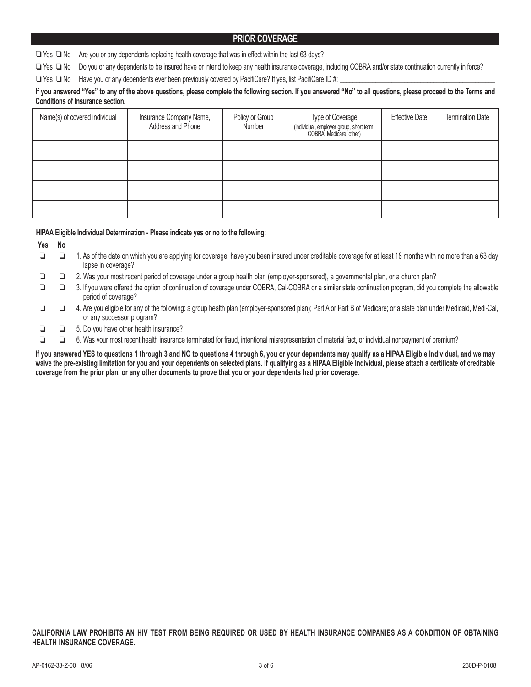#### **PRIOR COVERAGE**

❏ Yes ❏ No Are you or any dependents replacing health coverage that was in effect within the last 63 days?

❏ Yes ❏ No Do you or any dependents to be insured have or intend to keep any health insurance coverage, including COBRA and/or state continuation currently in force?

❏ Yes ❏ No Have you or any dependents ever been previously covered by PacifiCare? If yes, list PacifiCare ID #: \_\_\_\_\_\_\_\_\_\_\_\_\_\_\_\_\_\_\_\_\_\_\_\_\_\_\_\_\_\_\_\_\_\_\_\_\_\_\_\_\_\_\_\_\_\_\_\_

#### **If you answered "Yes" to any of the above questions, please complete the following section. If you answered "No" to all questions, please proceed to the Terms and Conditions of Insurance section.**

| Name(s) of covered individual | Insurance Company Name,<br>Address and Phone | Policy or Group<br>Number | Type of Coverage<br>(individual, employer group, short term,<br>COBRA, Medicare, other) | <b>Effective Date</b> | <b>Termination Date</b> |
|-------------------------------|----------------------------------------------|---------------------------|-----------------------------------------------------------------------------------------|-----------------------|-------------------------|
|                               |                                              |                           |                                                                                         |                       |                         |
|                               |                                              |                           |                                                                                         |                       |                         |
|                               |                                              |                           |                                                                                         |                       |                         |
|                               |                                              |                           |                                                                                         |                       |                         |

#### **HIPAA Eligible Individual Determination - Please indicate yes or no to the following:**

**Yes No**

❏ ❏ 1. As of the date on which you are applying for coverage, have you been insured under creditable coverage for at least 18 months with no more than a 63 day lapse in coverage?

❏ ❏ 2. Was your most recent period of coverage under a group health plan (employer-sponsored), a governmental plan, or a church plan?

❏ ❏ 3. If you were offered the option of continuation of coverage under COBRA, Cal-COBRA or a similar state continuation program, did you complete the allowable period of coverage?

❏ ❏ 4. Are you eligible for any of the following: a group health plan (employer-sponsored plan); Part A or Part B of Medicare; or a state plan under Medicaid, Medi-Cal, or any successor program?

❏ ❏ 5. Do you have other health insurance?

❏ ❏ 6. Was your most recent health insurance terminated for fraud, intentional misrepresentation of material fact, or individual nonpayment of premium?

**If you answered YES to questions 1 through 3 and NO to questions 4 through 6, you or your dependents may qualify as a HIPAA Eligible Individual, and we may waive the pre-existing limitation for you and your dependents on selected plans. If qualifying as a HIPAA Eligible Individual, please attach a certificate of creditable coverage from the prior plan, or any other documents to prove that you or your dependents had prior coverage.**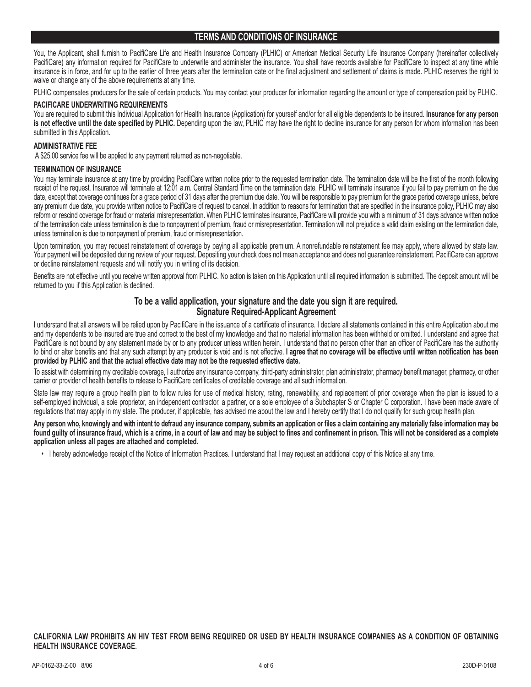#### **TERMS AND CONDITIONS OF INSURANCE**

You, the Applicant, shall furnish to PacifiCare Life and Health Insurance Company (PLHIC) or American Medical Security Life Insurance Company (hereinafter collectively PacifiCare) any information required for PacifiCare to underwrite and administer the insurance. You shall have records available for PacifiCare to inspect at any time while insurance is in force, and for up to the earlier of three years after the termination date or the final adjustment and settlement of claims is made. PLHIC reserves the right to waive or change any of the above requirements at any time.

PLHIC compensates producers for the sale of certain products. You may contact your producer for information regarding the amount or type of compensation paid by PLHIC.

#### **PACIFICARE UNDERWRITING REQUIREMENTS**

You are required to submit this Individual Application for Health Insurance (Application) for yourself and/or for all eligible dependents to be insured. **Insurance for any person is not effective until the date specified by PLHIC.** Depending upon the law, PLHIC may have the right to decline insurance for any person for whom information has been submitted in this Application.

#### **ADMINISTRATIVE FEE**

A \$25.00 service fee will be applied to any payment returned as non-negotiable.

#### **TERMINATION OF INSURANCE**

You may terminate insurance at any time by providing PacifiCare written notice prior to the requested termination date. The termination date will be the first of the month following receipt of the request. Insurance will terminate at 12:01 a.m. Central Standard Time on the termination date. PLHIC will terminate insurance if you fail to pay premium on the due date, except that coverage continues for a grace period of 31 days after the premium due date. You will be responsible to pay premium for the grace period coverage unless, before any premium due date, you provide written notice to PacifiCare of request to cancel. In addition to reasons for termination that are specified in the insurance policy, PLHIC may also reform or rescind coverage for fraud or material misrepresentation. When PLHIC terminates insurance, PacifiCare will provide you with a minimum of 31 days advance written notice of the termination date unless termination is due to nonpayment of premium, fraud or misrepresentation. Termination will not prejudice a valid claim existing on the termination date, unless termination is due to nonpayment of premium, fraud or misrepresentation.

Upon termination, you may request reinstatement of coverage by paying all applicable premium. A nonrefundable reinstatement fee may apply, where allowed by state law. Your payment will be deposited during review of your request. Depositing your check does not mean acceptance and does not guarantee reinstatement. PacifiCare can approve or decline reinstatement requests and will notify you in writing of its decision.

Benefits are not effective until you receive written approval from PLHIC. No action is taken on this Application until all required information is submitted. The deposit amount will be returned to you if this Application is declined.

#### **To be a valid application, your signature and the date you sign it are required. Signature Required-Applicant Agreement**

I understand that all answers will be relied upon by PacifiCare in the issuance of a certificate of insurance. I declare all statements contained in this entire Application about me and my dependents to be insured are true and correct to the best of my knowledge and that no material information has been withheld or omitted. I understand and agree that PacifiCare is not bound by any statement made by or to any producer unless written herein. I understand that no person other than an officer of PacifiCare has the authority to bind or alter benefits and that any such attempt by any producer is void and is not effective. **I agree that no coverage will be effective until written notification has been provided by PLHIC and that the actual effective date may not be the requested effective date.**

To assist with determining my creditable coverage, I authorize any insurance company, third-party administrator, plan administrator, pharmacy benefit manager, pharmacy, or other carrier or provider of health benefits to release to PacifiCare certificates of creditable coverage and all such information.

State law may require a group health plan to follow rules for use of medical history, rating, renewability, and replacement of prior coverage when the plan is issued to a self-employed individual, a sole proprietor, an independent contractor, a partner, or a sole employee of a Subchapter S or Chapter C corporation. I have been made aware of regulations that may apply in my state. The producer, if applicable, has advised me about the law and I hereby certify that I do not qualify for such group health plan.

**Any person who, knowingly and with intent to defraud any insurance company, submits an application or files a claim containing any materially false information may be found guilty of insurance fraud, which is a crime, in a court of law and may be subject to fines and confinement in prison. This will not be considered as a complete application unless all pages are attached and completed.**

• I hereby acknowledge receipt of the Notice of Information Practices. I understand that I may request an additional copy of this Notice at any time.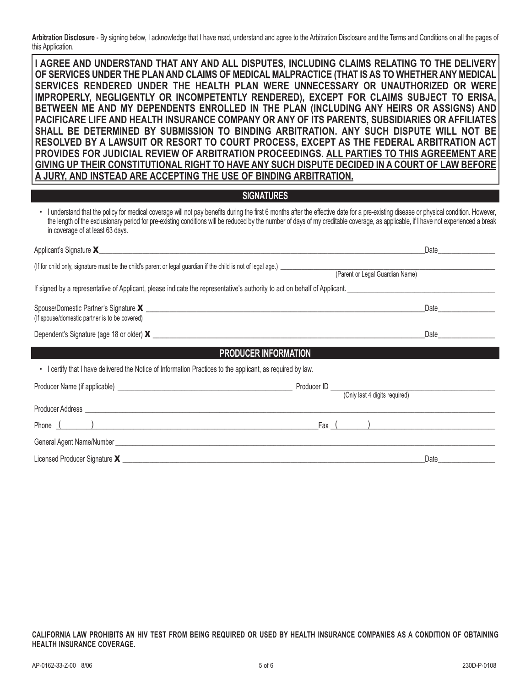**Arbitration Disclosure** - By signing below, I acknowledge that I have read, understand and agree to the Arbitration Disclosure and the Terms and Conditions on all the pages of this Application.

**I AGREE AND UNDERSTAND THAT ANY AND ALL DISPUTES, INCLUDING CLAIMS RELATING TO THE DELIVERY OF SERVICES UNDER THE PLAN AND CLAIMS OF MEDICAL MALPRACTICE (THAT IS AS TO WHETHER ANY MEDICAL SERVICES RENDERED UNDER THE HEALTH PLAN WERE UNNECESSARY OR UNAUTHORIZED OR WERE IMPROPERLY, NEGLIGENTLY OR INCOMPETENTLY RENDERED), EXCEPT FOR CLAIMS SUBJECT TO ERISA, BETWEEN ME AND MY DEPENDENTS ENROLLED IN THE PLAN (INCLUDING ANY HEIRS OR ASSIGNS) AND PACIFICARE LIFE AND HEALTH INSURANCE COMPANY OR ANY OF ITS PARENTS, SUBSIDIARIES OR AFFILIATES SHALL BE DETERMINED BY SUBMISSION TO BINDING ARBITRATION. ANY SUCH DISPUTE WILL NOT BE RESOLVED BY A LAWSUIT OR RESORT TO COURT PROCESS, EXCEPT AS THE FEDERAL ARBITRATION ACT PROVIDES FOR JUDICIAL REVIEW OF ARBITRATION PROCEEDINGS. ALL PARTIES TO THIS AGREEMENT ARE GIVING UP THEIR CONSTITUTIONAL RIGHT TO HAVE ANY SUCH DISPUTE DECIDED IN A COURT OF LAW BEFORE A JURY, AND INSTEAD ARE ACCEPTING THE USE OF BINDING ARBITRATION.**

#### **SIGNATURES**

• I understand that the policy for medical coverage will not pay benefits during the first 6 months after the effective date for a pre-existing disease or physical condition. However, the length of the exclusionary period for pre-existing conditions will be reduced by the number of days of my creditable coverage, as applicable, if I have not experienced a break in coverage of at least 63 days.

| Applicant's Signature <b>X</b>                                                                                                                                                                                                      |                                 | Date and the set of the set of the set of the set of the set of the set of the set of the set of the set of the                                                                                                                |  |  |  |
|-------------------------------------------------------------------------------------------------------------------------------------------------------------------------------------------------------------------------------------|---------------------------------|--------------------------------------------------------------------------------------------------------------------------------------------------------------------------------------------------------------------------------|--|--|--|
|                                                                                                                                                                                                                                     | (Parent or Legal Guardian Name) |                                                                                                                                                                                                                                |  |  |  |
| If signed by a representative of Applicant, please indicate the representative's authority to act on behalf of Applicant.                                                                                                           |                                 |                                                                                                                                                                                                                                |  |  |  |
| (If spouse/domestic partner is to be covered)                                                                                                                                                                                       |                                 | Date                                                                                                                                                                                                                           |  |  |  |
|                                                                                                                                                                                                                                     |                                 | Date                                                                                                                                                                                                                           |  |  |  |
| <b>PRODUCER INFORMATION</b>                                                                                                                                                                                                         |                                 |                                                                                                                                                                                                                                |  |  |  |
| . I certify that I have delivered the Notice of Information Practices to the applicant, as required by law.                                                                                                                         |                                 |                                                                                                                                                                                                                                |  |  |  |
|                                                                                                                                                                                                                                     |                                 |                                                                                                                                                                                                                                |  |  |  |
| Producer Address <b>Example 20</b> No. 2014 19:30:30 No. 2014 19:30:40 No. 2014 19:30:40 No. 2014 19:30:40 No. 2014 19:30:40 No. 2014 19:30:40 No. 2014 19:30:40 No. 2014 19:30:40 No. 2014 19:30:40 No. 2014 19:30:40 No. 2014 19: |                                 |                                                                                                                                                                                                                                |  |  |  |
|                                                                                                                                                                                                                                     |                                 |                                                                                                                                                                                                                                |  |  |  |
| General Agent Name/Number et al. 2006. The contract of the contract of the contract of the contract of the contract of the contract of the contract of the contract of the contract of the contract of the contract of the con      |                                 |                                                                                                                                                                                                                                |  |  |  |
|                                                                                                                                                                                                                                     |                                 | Date and the contract of the contract of the contract of the contract of the contract of the contract of the contract of the contract of the contract of the contract of the contract of the contract of the contract of the c |  |  |  |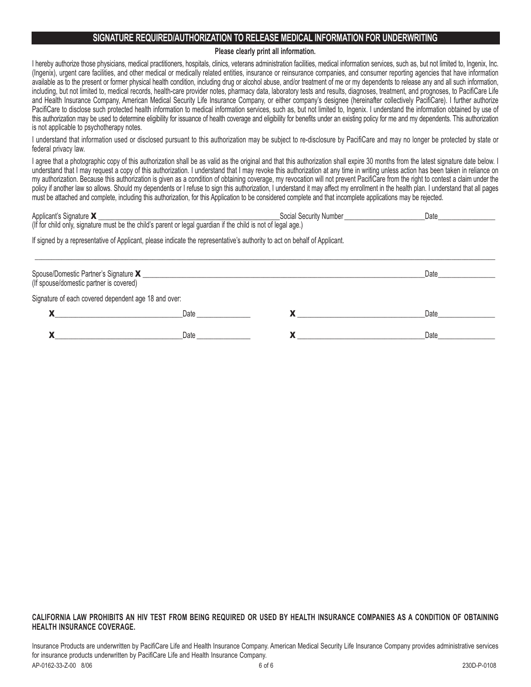#### **SIGNATURE REQUIRED/AUTHORIZATION TO RELEASE MEDICAL INFORMATION FOR UNDERWRITING**

**Please clearly print all information.**

I hereby authorize those physicians, medical practitioners, hospitals, clinics, veterans administration facilities, medical information services, such as, but not limited to, Ingenix, Inc. (Ingenix), urgent care facilities, and other medical or medically related entities, insurance or reinsurance companies, and consumer reporting agencies that have information available as to the present or former physical health condition, including drug or alcohol abuse, and/or treatment of me or my dependents to release any and all such information, including, but not limited to, medical records, health-care provider notes, pharmacy data, laboratory tests and results, diagnoses, treatment, and prognoses, to PacifiCare Life and Health Insurance Company, American Medical Security Life Insurance Company, or either company's designee (hereinafter collectively PacifiCare). I further authorize PacifiCare to disclose such protected health information to medical information services, such as, but not limited to, Ingenix. I understand the information obtained by use of this authorization may be used to determine eligibility for issuance of health coverage and eligibility for benefits under an existing policy for me and my dependents. This authorization is not applicable to psychotherapy notes.

I understand that information used or disclosed pursuant to this authorization may be subject to re-disclosure by PacifiCare and may no longer be protected by state or federal privacy law.

I agree that a photographic copy of this authorization shall be as valid as the original and that this authorization shall expire 30 months from the latest signature date below. I understand that I may request a copy of this authorization. I understand that I may revoke this authorization at any time in writing unless action has been taken in reliance on my authorization. Because this authorization is given as a condition of obtaining coverage, my revocation will not prevent PacifiCare from the right to contest a claim under the policy if another law so allows. Should my dependents or I refuse to sign this authorization, I understand it may affect my enrollment in the health plan. I understand that all pages must be attached and complete, including this authorization, for this Application to be considered complete and that incomplete applications may be rejected.

Applicant's Signature  $\mathbf{X}$  Date (If for child only, signature must be the child's parent or legal guardian if the child is not of legal age.)

If signed by a representative of Applicant, please indicate the representative's authority to act on behalf of Applicant.

| Spouse/Domestic Partner's Signature <b>X</b> _<br>(If spouse/domestic partner is covered) | Date |  |      |
|-------------------------------------------------------------------------------------------|------|--|------|
| Signature of each covered dependent age 18 and over:                                      |      |  |      |
|                                                                                           | Date |  | Date |
|                                                                                           | Date |  | Date |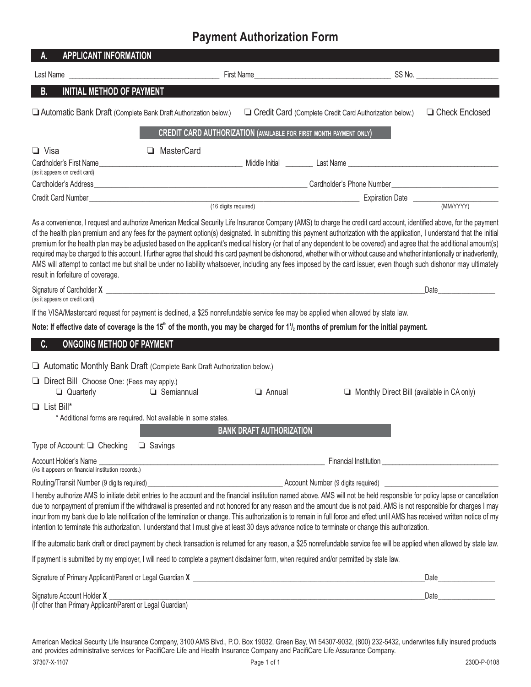# **Payment Authorization Form**

| <b>APPLICANT INFORMATION</b><br>A.                                                                                                                                                                                            |                                                                           |                                 |                                                                                                                                                                                                                                                                                                                                                                                                                                                                                                                                                                                                                                                                                                                                                                                                                                                                                       |                  |
|-------------------------------------------------------------------------------------------------------------------------------------------------------------------------------------------------------------------------------|---------------------------------------------------------------------------|---------------------------------|---------------------------------------------------------------------------------------------------------------------------------------------------------------------------------------------------------------------------------------------------------------------------------------------------------------------------------------------------------------------------------------------------------------------------------------------------------------------------------------------------------------------------------------------------------------------------------------------------------------------------------------------------------------------------------------------------------------------------------------------------------------------------------------------------------------------------------------------------------------------------------------|------------------|
| Last Name and the contract of the contract of the contract of the contract of the contract of the contract of the contract of the contract of the contract of the contract of the contract of the contract of the contract of |                                                                           |                                 |                                                                                                                                                                                                                                                                                                                                                                                                                                                                                                                                                                                                                                                                                                                                                                                                                                                                                       |                  |
| <b>INITIAL METHOD OF PAYMENT</b><br><b>B.</b>                                                                                                                                                                                 |                                                                           |                                 |                                                                                                                                                                                                                                                                                                                                                                                                                                                                                                                                                                                                                                                                                                                                                                                                                                                                                       |                  |
| Automatic Bank Draft (Complete Bank Draft Authorization below.)                                                                                                                                                               |                                                                           |                                 | Credit Card (Complete Credit Card Authorization below.)                                                                                                                                                                                                                                                                                                                                                                                                                                                                                                                                                                                                                                                                                                                                                                                                                               | □ Check Enclosed |
|                                                                                                                                                                                                                               | <b>CREDIT CARD AUTHORIZATION (AVAILABLE FOR FIRST MONTH PAYMENT ONLY)</b> |                                 |                                                                                                                                                                                                                                                                                                                                                                                                                                                                                                                                                                                                                                                                                                                                                                                                                                                                                       |                  |
| $\Box$ Visa                                                                                                                                                                                                                   | MasterCard                                                                |                                 |                                                                                                                                                                                                                                                                                                                                                                                                                                                                                                                                                                                                                                                                                                                                                                                                                                                                                       |                  |
|                                                                                                                                                                                                                               |                                                                           |                                 |                                                                                                                                                                                                                                                                                                                                                                                                                                                                                                                                                                                                                                                                                                                                                                                                                                                                                       |                  |
| (as it appears on credit card)                                                                                                                                                                                                |                                                                           |                                 |                                                                                                                                                                                                                                                                                                                                                                                                                                                                                                                                                                                                                                                                                                                                                                                                                                                                                       |                  |
|                                                                                                                                                                                                                               |                                                                           |                                 |                                                                                                                                                                                                                                                                                                                                                                                                                                                                                                                                                                                                                                                                                                                                                                                                                                                                                       |                  |
|                                                                                                                                                                                                                               |                                                                           |                                 |                                                                                                                                                                                                                                                                                                                                                                                                                                                                                                                                                                                                                                                                                                                                                                                                                                                                                       |                  |
| result in forfeiture of coverage.                                                                                                                                                                                             |                                                                           |                                 | As a convenience, I request and authorize American Medical Security Life Insurance Company (AMS) to charge the credit card account, identified above, for the payment<br>of the health plan premium and any fees for the payment option(s) designated. In submitting this payment authorization with the application, I understand that the initial<br>premium for the health plan may be adjusted based on the applicant's medical history (or that of any dependent to be covered) and agree that the additional amount(s)<br>required may be charged to this account. I further agree that should this card payment be dishonored, whether with or without cause and whether intentionally or inadvertently,<br>AMS will attempt to contact me but shall be under no liability whatsoever, including any fees imposed by the card issuer, even though such dishonor may ultimately |                  |
| (as it appears on credit card)                                                                                                                                                                                                |                                                                           |                                 |                                                                                                                                                                                                                                                                                                                                                                                                                                                                                                                                                                                                                                                                                                                                                                                                                                                                                       | Date             |
|                                                                                                                                                                                                                               |                                                                           |                                 | If the VISA/Mastercard request for payment is declined, a \$25 nonrefundable service fee may be applied when allowed by state law.                                                                                                                                                                                                                                                                                                                                                                                                                                                                                                                                                                                                                                                                                                                                                    |                  |
|                                                                                                                                                                                                                               |                                                                           |                                 | Note: If effective date of coverage is the 15 <sup>th</sup> of the month, you may be charged for $1\frac{1}{2}$ months of premium for the initial payment.                                                                                                                                                                                                                                                                                                                                                                                                                                                                                                                                                                                                                                                                                                                            |                  |
| <b>ONGOING METHOD OF PAYMENT</b><br>C.                                                                                                                                                                                        |                                                                           |                                 |                                                                                                                                                                                                                                                                                                                                                                                                                                                                                                                                                                                                                                                                                                                                                                                                                                                                                       |                  |
| Automatic Monthly Bank Draft (Complete Bank Draft Authorization below.)                                                                                                                                                       |                                                                           |                                 |                                                                                                                                                                                                                                                                                                                                                                                                                                                                                                                                                                                                                                                                                                                                                                                                                                                                                       |                  |
| Direct Bill Choose One: (Fees may apply.)<br>$\Box$ Quarterly                                                                                                                                                                 | Semiannual                                                                | $\Box$ Annual                   | $\Box$ Monthly Direct Bill (available in CA only)                                                                                                                                                                                                                                                                                                                                                                                                                                                                                                                                                                                                                                                                                                                                                                                                                                     |                  |
| $\Box$ List Bill*                                                                                                                                                                                                             | * Additional forms are required. Not available in some states.            |                                 |                                                                                                                                                                                                                                                                                                                                                                                                                                                                                                                                                                                                                                                                                                                                                                                                                                                                                       |                  |
|                                                                                                                                                                                                                               |                                                                           | <b>BANK DRAFT AUTHORIZATION</b> |                                                                                                                                                                                                                                                                                                                                                                                                                                                                                                                                                                                                                                                                                                                                                                                                                                                                                       |                  |
| Type of Account: □ Checking □ Savings                                                                                                                                                                                         |                                                                           |                                 |                                                                                                                                                                                                                                                                                                                                                                                                                                                                                                                                                                                                                                                                                                                                                                                                                                                                                       |                  |
| Account Holder's Name<br>(As it appears on financial institution records.)                                                                                                                                                    |                                                                           |                                 |                                                                                                                                                                                                                                                                                                                                                                                                                                                                                                                                                                                                                                                                                                                                                                                                                                                                                       |                  |
|                                                                                                                                                                                                                               |                                                                           |                                 |                                                                                                                                                                                                                                                                                                                                                                                                                                                                                                                                                                                                                                                                                                                                                                                                                                                                                       |                  |
|                                                                                                                                                                                                                               |                                                                           |                                 | I hereby authorize AMS to initiate debit entries to the account and the financial institution named above. AMS will not be held responsible for policy lapse or cancellation<br>due to nonpayment of premium if the withdrawal is presented and not honored for any reason and the amount due is not paid. AMS is not responsible for charges I may<br>incur from my bank due to late notification of the termination or change. This authorization is to remain in full force and effect until AMS has received written notice of my<br>intention to terminate this authorization. I understand that I must give at least 30 days advance notice to terminate or change this authorization.                                                                                                                                                                                          |                  |
|                                                                                                                                                                                                                               |                                                                           |                                 | If the automatic bank draft or direct payment by check transaction is returned for any reason, a \$25 nonrefundable service fee will be applied when allowed by state law.                                                                                                                                                                                                                                                                                                                                                                                                                                                                                                                                                                                                                                                                                                            |                  |
|                                                                                                                                                                                                                               |                                                                           |                                 | If payment is submitted by my employer, I will need to complete a payment disclaimer form, when required and/or permitted by state law.                                                                                                                                                                                                                                                                                                                                                                                                                                                                                                                                                                                                                                                                                                                                               |                  |
|                                                                                                                                                                                                                               |                                                                           |                                 | Signature of Primary Applicant/Parent or Legal Guardian X [Cross Concentration Concentration Concentration Concentration Concentration Concentration Concentration Concentration Concentration Concentration Concentration Con                                                                                                                                                                                                                                                                                                                                                                                                                                                                                                                                                                                                                                                        |                  |
|                                                                                                                                                                                                                               |                                                                           |                                 |                                                                                                                                                                                                                                                                                                                                                                                                                                                                                                                                                                                                                                                                                                                                                                                                                                                                                       | Date             |
|                                                                                                                                                                                                                               |                                                                           |                                 |                                                                                                                                                                                                                                                                                                                                                                                                                                                                                                                                                                                                                                                                                                                                                                                                                                                                                       |                  |

American Medical Security Life Insurance Company, 3100 AMS Blvd., P.O. Box 19032, Green Bay, WI 54307-9032, (800) 232-5432, underwrites fully insured products and provides administrative services for PacifiCare Life and Health Insurance Company and PacifiCare Life Assurance Company.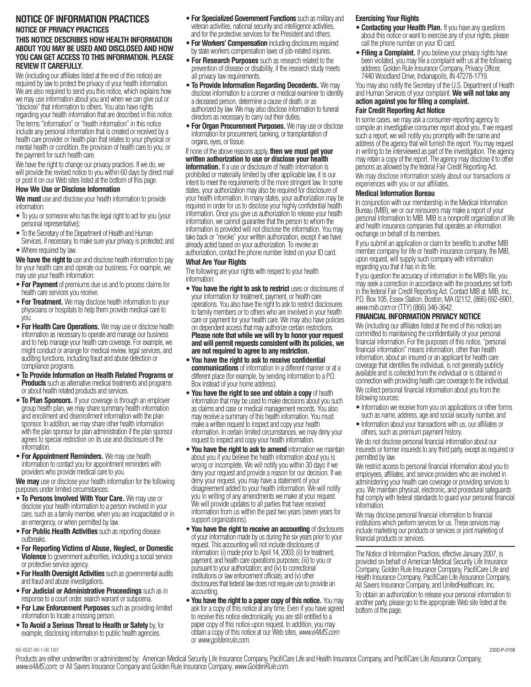#### **NOTICE OF INFORMATION PRACTICES NOTICE OF PRIVACY PRACTICES**

#### **THIS NOTICE DESCRIBES HOW HEALTH INFORMATION ABOUT YOU MAY BE USED AND DISCLOSED AND HOW YOU CAN GET ACCESS TO THIS INFORMATION. PLEASE REVIEW IT CAREFULLY.**

We (including our affiliates listed at the end of this notice) are required by law to protect the privacy of your health information. We are also required to send you this notice, which explains how we may use information about you and when we can give out or "disclose" that information to others. You also have rights regarding your health information that are described in this notice.

The terms "information" or "health information" in this notice include any personal information that is created or received by a health care provider or health plan that relates to your physical or mental health or condition, the provision of health care to you, or the payment for such health care.

We have the right to change our privacy practices. If we do, we will provide the revised notice to you within 60 days by direct mail or post it on our Web sites listed at the bottom of this page.

#### **How We Use or Disclose Information**

**We must** use and disclose your health information to provide information:

- To you or someone who has the legal right to act for you (your personal representative);
- To the Secretary of the Department of Health and Human Services, if necessary, to make sure your privacy is protected; and
- Where required by law.

**We have the right to** use and disclose health information to pay for your health care and operate our business. For example, we may use your health information:

- **For Payment** of premiums due us and to process claims for health care services you receive.
- **For Treatment.** We may disclose health information to your physicians or hospitals to help them provide medical care to you.
- **For Health Care Operations.**We may use or disclose health information as necessary to operate and manage our business and to help manage your health care coverage. For example, we might conduct or arrange for medical review, legal services, and auditing functions, including fraud and abuse detection or compliance programs.
- **To Provide Information on Health Related Programs or Products** such as alternative medical treatments and programs or about health related products and services.
- **To Plan Sponsors.**If your coverage is through an employer group health plan, we may share summary health information and enrollment and disenrollment information with the plan sponsor. In addition, we may share other health information with the plan sponsor for plan administration if the plan sponsor agrees to special restriction on its use and disclosure of the information.
- **For Appointment Reminders.** We may use health information to contact you for appointment reminders with providers who provide medical care to you.

**We may** use or disclose your health information for the following purposes under limited circumstances:

- **To Persons Involved With Your Care.** We may use or disclose your health information to a person involved in your care, such as a family member, when you are incapacitated or in an emergency, or when permitted by law.
- **For Public Health Activities** such as reporting disease outbreaks.
- **For Reporting Victims of Abuse, Neglect, or Domestic Violence** to government authorities, including a social service or protective service agency.
- **For Health Oversight Activities** such as governmental audits and fraud and abuse investigations.
- **For Judicial or Administrative Proceedings** such as in response to a court order, search warrant or subpoena.
- **For Law Enforcement Purposes** such as providing limited information to locate a missing person.
- **To Avoid a Serious Threat to Health or Safety** by, for example, disclosing information to public health agencies.
- **For Specialized Government Functions** such as military and veteran activities, national security and intelligence activities, and for the protective services for the President and others.
- **For Workers' Compensation**including disclosures required by state workers compensation laws of job-related injuries.
- **For Research Purposes** such as research related to the prevention of disease or disability, if the research study meets all privacy law requirements.
- **To Provide Information Regarding Decedents.** We may disclose information to a coroner or medical examiner to identify a deceased person, determine a cause of death, or as authorized by law. We may also disclose information to funeral directors as necessary to carry out their duties.
- **For Organ Procurement Purposes.**We may use or disclose information for procurement, banking, or transplantation of organs, eyes, or tissue.

If none of the above reasons apply, **then we must get your written authorization to use or disclose your health information.** If a use or disclosure of health information is prohibited or materially limited by other applicable law, it is our intent to meet the requirements of the more stringent law. In some states, your authorization may also be required for disclosure of your health information. In many states, your authorization may be required in order for us to disclose your highly confidential health information. Once you give us authorization to release your health information, we cannot guarantee that the person to whom the information is provided will not disclose the information. You may take back or "revoke" your written authorization, except if we have already acted based on your authorization. To revoke an authorization, contact the phone number listed on your ID card.

#### **What Are Your Rights**

The following are your rights with respect to your health information:

• **You have the right to ask to restrict** uses or disclosures of your information for treatment, payment, or health care operations. You also have the right to ask to restrict disclosures to family members or to others who are involved in your health care or payment for your health care. We may also have policies on dependent access that may authorize certain restrictions.

**Please note that while we will try to honor your request and will permit requests consistent with its policies, we are not required to agree to any restriction.** 

- **You have the right to ask to receive confidential communications** of information in a different manner or at a different place (for example, by sending information to a P.O. Box instead of your home address).
- **You have the right to see and obtain a copy** of health information that may be used to make decisions about you such as claims and case or medical management records. You also may receive a summary of this health information. You must make a written request to inspect and copy your health information. In certain limited circumstances, we may deny your request to inspect and copy your health information.
- **You have the right to ask to amend** information we maintain about you if you believe the health information about you is wrong or incomplete. We will notify you within 30 days if we deny your request and provide a reason for our decision. If we deny your request, you may have a statement of your disagreement added to your health information. We will notify you in writing of any amendments we make at your request. We will provide updates to all parties that have received information from us within the past two years (seven years for support organizations).
- **You have the right to receive an accounting** of disclosures of your information made by us during the six years prior to your request. This accounting will not include disclosures of information: (i) made prior to April 14, 2003; (ii) for treatment, payment, and health care operations purposes; (iii) to you or pursuant to your authorization; and (iv) to correctional institutions or law enforcement officials; and (v) other disclosures that federal law does not require use to provide an accounting.
- **You have the right to a paper copy of this notice.** You may ask for a copy of this notice at any time. Even if you have agreed to receive this notice electronically, you are still entitled to a paper copy of this notice upon request. In addition, you may obtain a copy of this notice at our Web sites, www.eAMS.com or www.goldenrule.com.

#### **Exercising Your Rights**

- **Contacting your Health Plan.** If you have any questions about this notice or want to exercise any of your rights, please call the phone number on your ID card.
- **Filing a Complaint.** If you believe your privacy rights have been violated, you may file a complaint with us at the following address: Golden Rule Insurance Company, Privacy Officer, 7440 Woodland Drive, Indianapolis, IN 47278-1719.

You may also notify the Secretary of the U.S. Department of Health and Human Services of your complaint. **We will not take any action against you for filing a complaint.** 

#### **Fair Credit Reporting Act Notice**

In some cases, we may ask a consumer-reporting agency to compile an investigative consumer report about you. If we request such a report, we will notify you promptly with the name and address of the agency that will furnish the report. You may request in writing to be interviewed as part of the investigation. The agency may retain a copy of the report. The agency may disclose it to other persons as allowed by the federal Fair Credit Reporting Act. We may disclose information solely about our transactions or experiences with you or our affiliates.

#### **Medical Information Bureau**

In conjunction with our membership in the Medical Information Bureau (MIB), we or our reinsurers may make a report of your personal information to MIB. MIB is a nonprofit organization of life and health insurance companies that operates an information exchange on behalf of its members.

If you submit an application or claim for benefits to another MIB member company for life or health insurance company, the MIB, upon request, will supply such company with information regarding you that it has in its file.

If you question the accuracy of information in the MIB's file, you may seek a correction in accordance with the procedures set forth in the federal Fair Credit Reporting Act. Contact MIB at: MIB, Inc., P.O. Box 105, Essex Station, Boston, MA 02112, (866) 692-6901, www.mib.comor (TTY) (866) 346-3642.

#### **FINANCIAL INFORMATION PRIVACY NOTICE**

We (including our affiliates listed at the end of this notice) are committed to maintaining the confidentiality of your personal financial information. For the purposes of this notice, "personal financial information" means information, other than health information, about an insured or an applicant for health care coverage that identifies the individual, is not generally publicly available and is collected from the individual or is obtained in connection with providing health care coverage to the individual.

We collect personal financial information about you from the following sources:

- Information we receive from you on applications or other forms such as name, address, age and social security number, and
- Information about your transactions with us, our affiliates or others, such as premium payment history.

We do not disclose personal financial information about our insureds or former insureds to any third party, except as required or permitted by law.

We restrict access to personal financial information about you to employees, affiliates, and service providers who are involved in administering your health care coverage or providing services to you. We maintain physical, electronic, and procedural safeguards that comply with federal standards to guard your personal financial information.

We may disclose personal financial information to financial institutions which perform services for us. These services may include marketing our products or services or joint marketing of financial products or services.

The Notice of Information Practices, effective January 2007, is provided on behalf of American Medical Security Life Insurance Company, Golden Rule Insurance Company, PacifiCare Life and Health Insurance Company, PacifiCare Life Assurance Company, All Savers Insurance Company, and UnitedHealthcare, Inc. To obtain an authorization to release your personal information to another party, please go to the appropriate Web site listed at the bottom of the page.

#### NO-0537-00-1-00 1/07 230D-P-0108

Products are either underwritten or administered by: American Medical Security Life Insurance Company, PacifiCare Life and Health Insurance Company, and PacifiCare Life Assurance Company, www.eAMS.com; or All Savers Insurance Company and Golden Rule Insurance Company, www.GoldenRule.com.